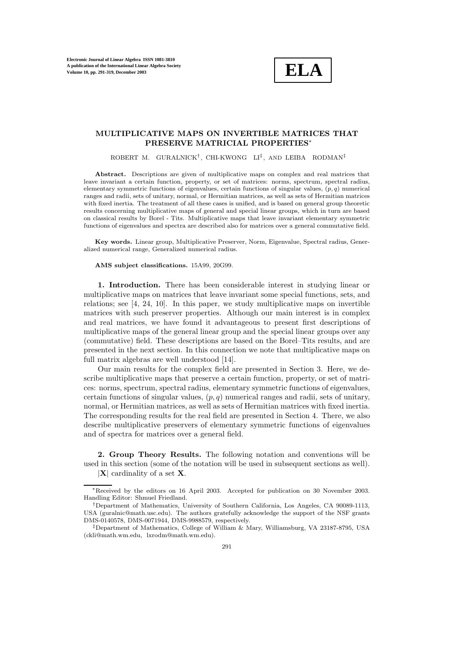

## **MULTIPLICATIVE MAPS ON INVERTIBLE MATRICES THAT PRESERVE MATRICIAL PROPERTIES**∗

ROBERT M. GURALNICK<sup>†</sup>, CHI-KWONG LI<sup>‡</sup>, AND LEIBA RODMAN<sup>‡</sup>

**Abstract.** Descriptions are given of multiplicative maps on complex and real matrices that leave invariant a certain function, property, or set of matrices: norms, spectrum, spectral radius, elementary symmetric functions of eigenvalues, certain functions of singular values,  $(p, q)$  numerical ranges and radii, sets of unitary, normal, or Hermitian matrices, as well as sets of Hermitian matrices with fixed inertia. The treatment of all these cases is unified, and is based on general group theoretic results concerning multiplicative maps of general and special linear groups, which in turn are based on classical results by Borel - Tits. Multiplicative maps that leave invariant elementary symmetric functions of eigenvalues and spectra are described also for matrices over a general commutative field.

**Key words.** Linear group, Multiplicative Preserver, Norm, Eigenvalue, Spectral radius, Generalized numerical range, Generalized numerical radius.

## **AMS subject classifications.** 15A99, 20G99.

**1. Introduction.** There has been considerable interest in studying linear or multiplicative maps on matrices that leave invariant some special functions, sets, and relations; see [4, 24, 10]. In this paper, we study multiplicative maps on invertible matrices with such preserver properties. Although our main interest is in complex and real matrices, we have found it advantageous to present first descriptions of multiplicative maps of the general linear group and the special linear groups over any (commutative) field. These descriptions are based on the Borel–Tits results, and are presented in the next section. In this connection we note that multiplicative maps on full matrix algebras are well understood [14].

Our main results for the complex field are presented in Section 3. Here, we describe multiplicative maps that preserve a certain function, property, or set of matrices: norms, spectrum, spectral radius, elementary symmetric functions of eigenvalues, certain functions of singular values,  $(p, q)$  numerical ranges and radii, sets of unitary, normal, or Hermitian matrices, as well as sets of Hermitian matrices with fixed inertia. The corresponding results for the real field are presented in Section 4. There, we also describe multiplicative preservers of elementary symmetric functions of eigenvalues and of spectra for matrices over a general field.

**2. Group Theory Results.** The following notation and conventions will be used in this section (some of the notation will be used in subsequent sections as well). |**X**| cardinality of a set **X**.

<sup>∗</sup>Received by the editors on 16 April 2003. Accepted for publication on 30 November 2003. Handling Editor: Shmuel Friedland.

<sup>†</sup>Department of Mathematics, University of Southern California, Los Angeles, CA 90089-1113, USA (guralnic@math.usc.edu). The authors gratefully acknowledge the support of the NSF grants DMS-0140578, DMS-0071944, DMS-9988579, respectively.

<sup>‡</sup>Department of Mathematics, College of William & Mary, Williamsburg, VA 23187-8795, USA (ckli@math.wm.edu, lxrodm@math.wm.edu).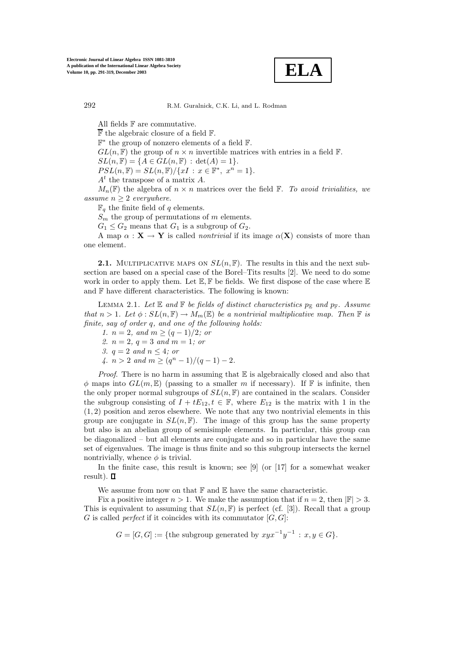

All fields  $\mathbb F$  are commutative.

 $\overline{\mathbb{F}}$  the algebraic closure of a field  $\mathbb{F}$ .

 $\mathbb{F}^*$  the group of nonzero elements of a field  $\mathbb{F}$ .

 $GL(n, \mathbb{F})$  the group of  $n \times n$  invertible matrices with entries in a field  $\mathbb{F}$ .

 $SL(n, \mathbb{F}) = \{A \in GL(n, \mathbb{F}) : \det(A) = 1\}.$ 

 $PSL(n, \mathbb{F}) = SL(n, \mathbb{F}) / \{xI : x \in \mathbb{F}^*, x^n = 1\}.$  $A<sup>t</sup>$  the transpose of a matrix A.

 $M_n(\mathbb{F})$  the algebra of  $n \times n$  matrices over the field  $\mathbb{F}$ . To avoid trivialities, we *assume*  $n \geq 2$  *everywhere.* 

 $\mathbb{F}_q$  the finite field of q elements.

 $S_m$  the group of permutations of m elements.

 $G_1 \leq G_2$  means that  $G_1$  is a subgroup of  $G_2$ .

A map  $\alpha$  :  $\mathbf{X} \to \mathbf{Y}$  is called *nontrivial* if its image  $\alpha(\mathbf{X})$  consists of more than one element.

**2.1.** MULTIPLICATIVE MAPS ON  $SL(n, \mathbb{F})$ . The results in this and the next subsection are based on a special case of the Borel–Tits results [2]. We need to do some work in order to apply them. Let  $\mathbb{E}, \mathbb{F}$  be fields. We first dispose of the case where  $\mathbb{E}$ and  $F$  have different characteristics. The following is known:

LEMMA 2.1. Let  $\mathbb E$  and  $\mathbb F$  be fields of distinct characteristics  $p_{\mathbb F}$  and  $p_{\mathbb F}$ . Assume *that*  $n > 1$ *. Let*  $\phi : SL(n, \mathbb{F}) \to M_m(\mathbb{E})$  *be a nontrivial multiplicative map. Then*  $\mathbb{F}$  *is finite, say of order* q*, and one of the following holds:*

*1.*  $n = 2$ *, and*  $m \geq (q - 1)/2$ *; or* 

*2.* n = 2*,* q = 3 *and* m = 1*; or*

*3.*  $q = 2$  *and*  $n \leq 4$ *; or* 

*4.*  $n > 2$  *and*  $m \geq (q^n - 1)/(q - 1) - 2$ *.* 

*Proof*. There is no harm in assuming that E is algebraically closed and also that  $\phi$  maps into  $GL(m,\mathbb{E})$  (passing to a smaller m if necessary). If  $\mathbb{F}$  is infinite, then the only proper normal subgroups of  $SL(n, \mathbb{F})$  are contained in the scalars. Consider the subgroup consisting of  $I + tE_{12}$ ,  $t \in \mathbb{F}$ , where  $E_{12}$  is the matrix with 1 in the  $(1, 2)$  position and zeros elsewhere. We note that any two nontrivial elements in this group are conjugate in  $SL(n, \mathbb{F})$ . The image of this group has the same property but also is an abelian group of semisimple elements. In particular, this group can be diagonalized – but all elements are conjugate and so in particular have the same set of eigenvalues. The image is thus finite and so this subgroup intersects the kernel nontrivially, whence  $\phi$  is trivial.

In the finite case, this result is known; see [9] (or [17] for a somewhat weaker result).  $\Box$ 

We assume from now on that  $\mathbb F$  and  $\mathbb E$  have the same characteristic.

Fix a positive integer  $n > 1$ . We make the assumption that if  $n = 2$ , then  $|\mathbb{F}| > 3$ . This is equivalent to assuming that  $SL(n, \mathbb{F})$  is perfect (cf. [3]). Recall that a group G is called *perfect* if it coincides with its commutator  $[G, G]$ :

$$
G = [G, G] := \{ the subgroup generated by xyx^{-1}y^{-1} : x, y \in G \}.
$$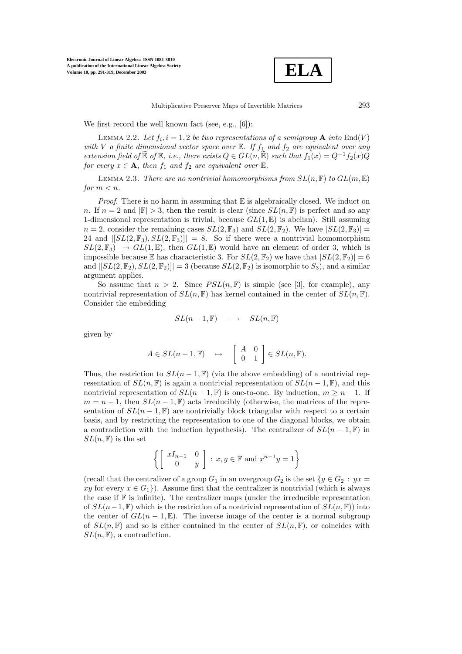

Multiplicative Preserver Maps of Invertible Matrices 293

We first record the well known fact (see, e.g., [6]):

LEMMA 2.2. Let  $f_i$ ,  $i = 1, 2$  be two representations of a semigroup **A** into End(V) *with* V *a finite dimensional vector space over*  $\mathbb{E}$ *. If*  $f_1$  *and*  $f_2$  *are equivalent over any extension field of*  $\mathbb{E}$  *of*  $\mathbb{E}$ *, i.e., there exists*  $Q \in GL(n, \mathbb{E})$  *such that*  $f_1(x) = Q^{-1}f_2(x)Q$ *for every*  $x \in \mathbf{A}$ *, then*  $f_1$  *and*  $f_2$  *are equivalent over*  $\mathbb{E}$ *.* 

LEMMA 2.3. *There are no nontrivial homomorphisms from*  $SL(n, \mathbb{F})$  *to*  $GL(m, \mathbb{E})$ *for*  $m < n$ *.* 

*Proof.* There is no harm in assuming that  $E$  is algebraically closed. We induct on n. If  $n = 2$  and  $|\mathbb{F}| > 3$ , then the result is clear (since  $SL(n, \mathbb{F})$  is perfect and so any 1-dimensional representation is trivial, because  $GL(1, \mathbb{E})$  is abelian). Still assuming  $n = 2$ , consider the remaining cases  $SL(2, \mathbb{F}_3)$  and  $SL(2, \mathbb{F}_2)$ . We have  $|SL(2, \mathbb{F}_3)| =$ 24 and  $|[SL(2,\mathbb{F}_3),SL(2,\mathbb{F}_3)]| = 8$ . So if there were a nontrivial homomorphism  $SL(2,\mathbb{F}_3) \rightarrow GL(1,\mathbb{E})$ , then  $GL(1,\mathbb{E})$  would have an element of order 3, which is impossible because E has characteristic 3. For  $SL(2, \mathbb{F}_2)$  we have that  $|SL(2, \mathbb{F}_2)| = 6$ and  $|[SL(2, \mathbb{F}_2), SL(2, \mathbb{F}_2)]| = 3$  (because  $SL(2, \mathbb{F}_2)$  is isomorphic to  $S_3$ ), and a similar argument applies.

So assume that  $n > 2$ . Since  $PSL(n, \mathbb{F})$  is simple (see [3], for example), any nontrivial representation of  $SL(n, \mathbb{F})$  has kernel contained in the center of  $SL(n, \mathbb{F})$ . Consider the embedding

$$
SL(n-1, \mathbb{F}) \longrightarrow SL(n, \mathbb{F})
$$

given by

$$
A \in SL(n-1, \mathbb{F}) \quad \mapsto \quad \begin{bmatrix} A & 0 \\ 0 & 1 \end{bmatrix} \in SL(n, \mathbb{F}).
$$

Thus, the restriction to  $SL(n-1,\mathbb{F})$  (via the above embedding) of a nontrivial representation of  $SL(n, \mathbb{F})$  is again a nontrivial representation of  $SL(n-1, \mathbb{F})$ , and this nontrivial representation of  $SL(n-1, \mathbb{F})$  is one-to-one. By induction,  $m > n - 1$ . If  $m = n - 1$ , then  $SL(n - 1, \mathbb{F})$  acts irreducibly (otherwise, the matrices of the representation of  $SL(n-1,\mathbb{F})$  are nontrivially block triangular with respect to a certain basis, and by restricting the representation to one of the diagonal blocks, we obtain a contradiction with the induction hypothesis). The centralizer of  $SL(n-1, \mathbb{F})$  in  $SL(n, \mathbb{F})$  is the set

$$
\left\{ \left[ \begin{array}{cc} xI_{n-1} & 0 \\ 0 & y \end{array} \right] : x, y \in \mathbb{F} \text{ and } x^{n-1}y = 1 \right\}
$$

(recall that the centralizer of a group  $G_1$  in an overgroup  $G_2$  is the set  $\{y \in G_2 : yx =$ xy for every  $x \in G_1$ ). Assume first that the centralizer is nontrivial (which is always the case if  $\mathbb F$  is infinite). The centralizer maps (under the irreducible representation of  $SL(n-1, \mathbb{F})$  which is the restriction of a nontrivial representation of  $SL(n, \mathbb{F})$  into the center of  $GL(n-1,\mathbb{E})$ . The inverse image of the center is a normal subgroup of  $SL(n, \mathbb{F})$  and so is either contained in the center of  $SL(n, \mathbb{F})$ , or coincides with  $SL(n, \mathbb{F})$ , a contradiction.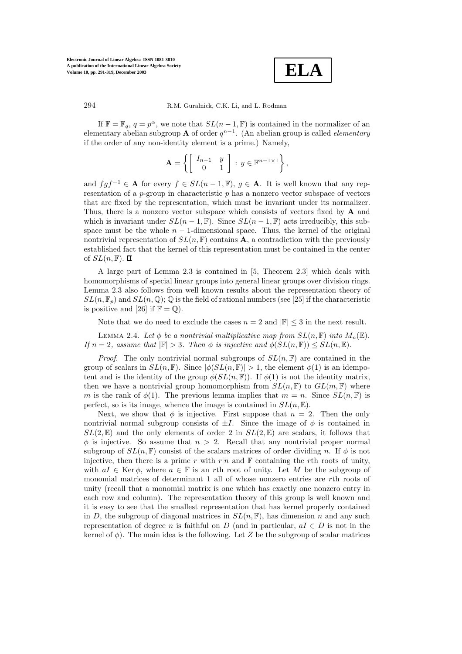

If  $\mathbb{F} = \mathbb{F}_q$ ,  $q = p^{\alpha}$ , we note that  $SL(n-1,\mathbb{F})$  is contained in the normalizer of an elementary abelian subgroup **A** of order  $q^{n-1}$ . (An abelian group is called *elementary* if the order of any non-identity element is a prime.) Namely,

$$
\mathbf{A} = \left\{ \left[ \begin{array}{cc} I_{n-1} & y \\ 0 & 1 \end{array} \right] : y \in \mathbb{F}^{n-1 \times 1} \right\},
$$

and  $f \circ f^{-1} \in A$  for every  $f \in SL(n-1,\mathbb{F})$ ,  $g \in A$ . It is well known that any representation of a  $p$ -group in characteristic  $p$  has a nonzero vector subspace of vectors that are fixed by the representation, which must be invariant under its normalizer. Thus, there is a nonzero vector subspace which consists of vectors fixed by **A** and which is invariant under  $SL(n-1,\mathbb{F})$ . Since  $SL(n-1,\mathbb{F})$  acts irreducibly, this subspace must be the whole  $n - 1$ -dimensional space. Thus, the kernel of the original nontrivial representation of  $SL(n, \mathbb{F})$  contains **A**, a contradiction with the previously established fact that the kernel of this representation must be contained in the center of  $SL(n, \mathbb{F})$ .  $\Box$ 

A large part of Lemma 2.3 is contained in [5, Theorem 2.3] which deals with homomorphisms of special linear groups into general linear groups over division rings. Lemma 2.3 also follows from well known results about the representation theory of  $SL(n, \mathbb{F}_p)$  and  $SL(n, \mathbb{Q})$ ;  $\mathbb Q$  is the field of rational numbers (see [25] if the characteristic is positive and [26] if  $\mathbb{F} = \mathbb{Q}$ .

Note that we do need to exclude the cases  $n = 2$  and  $|\mathbb{F}| \leq 3$  in the next result.

LEMMA 2.4. Let  $\phi$  be a nontrivial multiplicative map from  $SL(n, \mathbb{F})$  into  $M_n(\mathbb{E})$ . *If*  $n = 2$ *, assume that*  $|\mathbb{F}| > 3$ *. Then*  $\phi$  *is injective and*  $\phi(SL(n, \mathbb{F})) \le SL(n, \mathbb{E})$ *.* 

*Proof.* The only nontrivial normal subgroups of  $SL(n, \mathbb{F})$  are contained in the group of scalars in  $SL(n, \mathbb{F})$ . Since  $|\phi(SL(n, \mathbb{F})| > 1$ , the element  $\phi(1)$  is an idempotent and is the identity of the group  $\phi(SL(n, \mathbb{F}))$ . If  $\phi(1)$  is not the identity matrix, then we have a nontrivial group homomorphism from  $SL(n, \mathbb{F})$  to  $GL(m, \mathbb{F})$  where m is the rank of  $\phi(1)$ . The previous lemma implies that  $m = n$ . Since  $SL(n, \mathbb{F})$  is perfect, so is its image, whence the image is contained in  $SL(n, \mathbb{E})$ .

Next, we show that  $\phi$  is injective. First suppose that  $n = 2$ . Then the only nontrivial normal subgroup consists of  $\pm I$ . Since the image of  $\phi$  is contained in  $SL(2,\mathbb{E})$  and the only elements of order 2 in  $SL(2,\mathbb{E})$  are scalars, it follows that  $\phi$  is injective. So assume that  $n > 2$ . Recall that any nontrivial proper normal subgroup of  $SL(n, \mathbb{F})$  consist of the scalars matrices of order dividing n. If  $\phi$  is not injective, then there is a prime r with r|n and  $\mathbb F$  containing the rth roots of unity, with  $aI \in \text{Ker }\phi$ , where  $a \in \mathbb{F}$  is an rth root of unity. Let M be the subgroup of monomial matrices of determinant 1 all of whose nonzero entries are rth roots of unity (recall that a monomial matrix is one which has exactly one nonzero entry in each rowand column). The representation theory of this group is well known and it is easy to see that the smallest representation that has kernel properly contained in D, the subgroup of diagonal matrices in  $SL(n, \mathbb{F})$ , has dimension n and any such representation of degree n is faithful on D (and in particular,  $aI \in D$  is not in the kernel of  $\phi$ ). The main idea is the following. Let Z be the subgroup of scalar matrices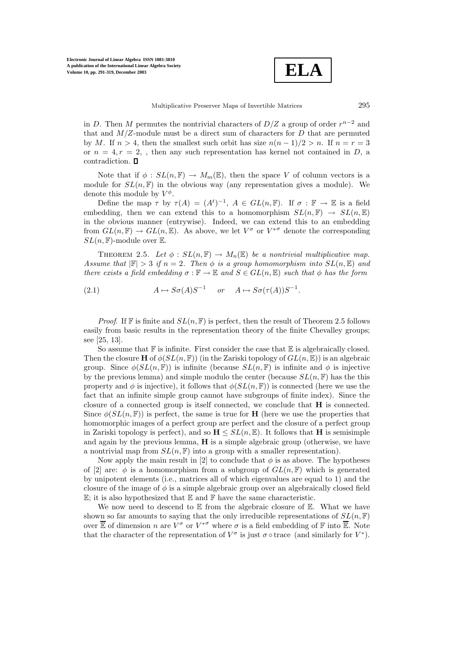

in D. Then M permutes the nontrivial characters of  $D/Z$  a group of order  $r^{n-2}$  and that and  $M/Z$ -module must be a direct sum of characters for  $D$  that are permuted by M. If  $n > 4$ , then the smallest such orbit has size  $n(n-1)/2 > n$ . If  $n = r = 3$ or  $n = 4, r = 2$ , then any such representation has kernel not contained in D, a contradiction.

Note that if  $\phi : SL(n, \mathbb{F}) \to M_m(\mathbb{E})$ , then the space V of column vectors is a module for  $SL(n, \mathbb{F})$  in the obvious way (any representation gives a module). We denote this module by  $V^{\phi}$ .

Define the map  $\tau$  by  $\tau(A) = (A^t)^{-1}$ ,  $A \in GL(n, \mathbb{F})$ . If  $\sigma : \mathbb{F} \to \mathbb{E}$  is a field embedding, then we can extend this to a homomorphism  $SL(n, \mathbb{F}) \rightarrow SL(n, \mathbb{E})$ in the obvious manner (entrywise). Indeed, we can extend this to an embedding from  $GL(n, \mathbb{F}) \to GL(n, \mathbb{E})$ . As above, we let  $V^{\sigma}$  or  $V^{*\sigma}$  denote the corresponding  $SL(n, \mathbb{F})$ -module over  $\mathbb{E}$ .

THEOREM 2.5. Let  $\phi : SL(n, \mathbb{F}) \to M_n(\mathbb{E})$  be a nontrivial multiplicative map. *Assume that*  $|\mathbb{F}| > 3$  *if*  $n = 2$ *. Then*  $\phi$  *is a group homomorphism into*  $SL(n, \mathbb{E})$  *and there exists a field embedding*  $\sigma : \mathbb{F} \to \mathbb{E}$  *and*  $S \in GL(n, \mathbb{E})$  *such that*  $\phi$  *has the form* 

(2.1) 
$$
A \mapsto S\sigma(A)S^{-1}
$$
 or  $A \mapsto S\sigma(\tau(A))S^{-1}$ .

*Proof.* If F is finite and  $SL(n, \mathbb{F})$  is perfect, then the result of Theorem 2.5 follows easily from basic results in the representation theory of the finite Chevalley groups; see [25, 13].

So assume that  $\mathbb F$  is infinite. First consider the case that  $\mathbb E$  is algebraically closed. Then the closure **H** of  $\phi(SL(n, \mathbb{F}))$  (in the Zariski topology of  $GL(n, \mathbb{E})$ ) is an algebraic group. Since  $\phi(SL(n, \mathbb{F}))$  is infinite (because  $SL(n, \mathbb{F})$  is infinite and  $\phi$  is injective by the previous lemma) and simple modulo the center (because  $SL(n, \mathbb{F})$  has the this property and  $\phi$  is injective), it follows that  $\phi(SL(n, \mathbb{F}))$  is connected (here we use the fact that an infinite simple group cannot have subgroups of finite index). Since the closure of a connected group is itself connected, we conclude that **H** is connected. Since  $\phi(SL(n, \mathbb{F}))$  is perfect, the same is true for **H** (here we use the properties that homomorphic images of a perfect group are perfect and the closure of a perfect group in Zariski topology is perfect), and so  $H \leq SL(n, \mathbb{E})$ . It follows that H is semisimple and again by the previous lemma, **H** is a simple algebraic group (otherwise, we have a nontrivial map from  $SL(n, \mathbb{F})$  into a group with a smaller representation).

Now apply the main result in [2] to conclude that  $\phi$  is as above. The hypotheses of [2] are:  $\phi$  is a homomorphism from a subgroup of  $GL(n, \mathbb{F})$  which is generated by unipotent elements (i.e., matrices all of which eigenvalues are equal to 1) and the closure of the image of  $\phi$  is a simple algebraic group over an algebraically closed field  $\mathbb{E}$ ; it is also hypothesized that  $\mathbb E$  and  $\mathbb F$  have the same characteristic.

We now need to descend to  $E$  from the algebraic closure of  $E$ . What we have shown so far amounts to saying that the only irreducible representations of  $SL(n, \mathbb{F})$ over  $\overline{\mathbb{E}}$  of dimension n are  $V^{\sigma}$  or  $V^{*\sigma}$  where  $\sigma$  is a field embedding of  $\mathbb{F}$  into  $\overline{\mathbb{E}}$ . Note that the character of the representation of  $V^{\sigma}$  is just  $\sigma \circ$  trace (and similarly for  $V^*$ ).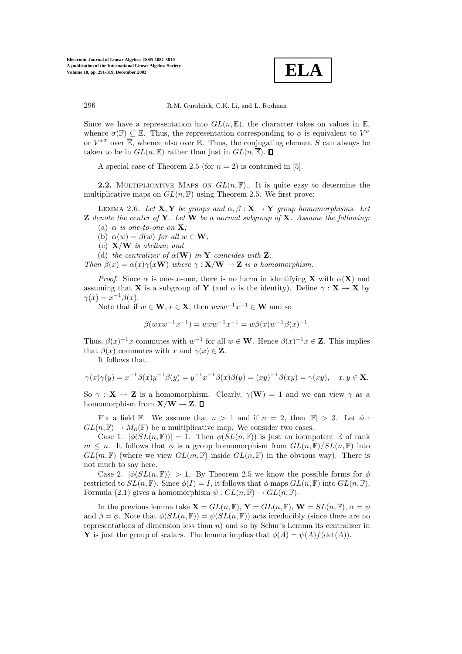

Since we have a representation into  $GL(n,\mathbb{E})$ , the character takes on values in  $\mathbb{E}$ , whence  $\sigma(\mathbb{F}) \subseteq \mathbb{E}$ . Thus, the representation corresponding to  $\phi$  is equivalent to  $V^{\sigma}$ or  $V^{*\sigma}$  over  $\overline{\mathbb{E}}$ , whence also over  $\mathbb{E}$ . Thus, the conjugating element S can always be taken to be in  $GL(n,\mathbb{E})$  rather than just in  $GL(n,\overline{\mathbb{E}})$ .  $\Box$ 

A special case of Theorem 2.5 (for  $n = 2$ ) is contained in [5].

**2.2.** MULTIPLICATIVE MAPS ON  $GL(n, \mathbb{F})$ . It is quite easy to determine the multiplicative maps on  $GL(n, \mathbb{F})$  using Theorem 2.5. We first prove:

LEMMA 2.6. Let  $X, Y$  be groups and  $\alpha, \beta : X \to Y$  group homomorphisms. Let **Z** *denote the center of* **Y***. Let* **W** *be a normal subgroup of* **X***. Assume the following:* (a)  $\alpha$  *is one-to-one on* **X***;* 

(b)  $\alpha(w) = \beta(w)$  *for all*  $w \in \mathbf{W}$ *;* 

(c) **X**/**W** *is abelian; and*

(d) the centralizer of  $\alpha(\mathbf{W})$  in **Y** coincides with **Z**;

*Then*  $\beta(x) = \alpha(x)\gamma(x\mathbf{W})$  *where*  $\gamma : \mathbf{X}/\mathbf{W} \to \mathbf{Z}$  *is a homomorphism.* 

*Proof.* Since  $\alpha$  is one-to-one, there is no harm in identifying **X** with  $\alpha(\mathbf{X})$  and assuming that **X** is a subgroup of **Y** (and  $\alpha$  is the identity). Define  $\gamma : \mathbf{X} \to \mathbf{X}$  by  $\gamma(x) = x^{-1}\beta(x).$ 

Note that if  $w \in \mathbf{W}, x \in \mathbf{X}$ , then  $wxw^{-1}x^{-1} \in \mathbf{W}$  and so

$$
\beta(wxw^{-1}x^{-1}) = wxw^{-1}x^{-1} = w\beta(x)w^{-1}\beta(x)^{-1}.
$$

Thus,  $\beta(x)^{-1}x$  commutes with  $w^{-1}$  for all  $w \in \mathbf{W}$ . Hence  $\beta(x)^{-1}x \in \mathbf{Z}$ . This implies that  $\beta(x)$  commutes with x and  $\gamma(x) \in \mathbf{Z}$ .

It follows that

$$
\gamma(x)\gamma(y) = x^{-1}\beta(x)y^{-1}\beta(y) = y^{-1}x^{-1}\beta(x)\beta(y) = (xy)^{-1}\beta(xy) = \gamma(xy), \quad x, y \in \mathbf{X}.
$$

So  $\gamma$  : **X**  $\rightarrow$  **Z** is a homomorphism. Clearly,  $\gamma(\mathbf{W}) = 1$  and we can view  $\gamma$  as a homomorphism from  $X/W \to Z$ .  $\Box$ 

Fix a field F. We assume that  $n > 1$  and if  $n = 2$ , then  $|\mathbb{F}| > 3$ . Let  $\phi$ :  $GL(n, \mathbb{F}) \to M_n(\mathbb{F})$  be a multiplicative map. We consider two cases.

Case 1.  $|\phi(SL(n, \mathbb{F}))| = 1$ . Then  $\phi(SL(n, \mathbb{F}))$  is just an idempotent  $\mathbb E$  of rank  $m \leq n$ . It follows that  $\phi$  is a group homomorphism from  $GL(n, \mathbb{F})/SL(n, \mathbb{F})$  into  $GL(m, \mathbb{F})$  (where we view  $GL(m, \mathbb{F})$  inside  $GL(n, \mathbb{F})$  in the obvious way). There is not much to say here.

Case 2.  $|\phi(SL(n, \mathbb{F}))| > 1$ . By Theorem 2.5 we know the possible forms for  $\phi$ restricted to  $SL(n, \mathbb{F})$ . Since  $\phi(I) = I$ , it follows that  $\phi$  maps  $GL(n, \mathbb{F})$  into  $GL(n, \mathbb{F})$ . Formula (2.1) gives a homomorphism  $\psi: GL(n, \mathbb{F}) \to GL(n, \mathbb{F})$ .

In the previous lemma take  $\mathbf{X} = GL(n, \mathbb{F}), \mathbf{Y} = GL(n, \mathbb{F}), \mathbf{W} = SL(n, \mathbb{F}), \alpha = \psi$ and  $\beta = \phi$ . Note that  $\phi(SL(n, \mathbb{F})) = \psi(SL(n, \mathbb{F}))$  acts irreducibly (since there are no representations of dimension less than  $n$ ) and so by Schur's Lemma its centralizer in **Y** is just the group of scalars. The lemma implies that  $\phi(A) = \psi(A)f(\det(A)).$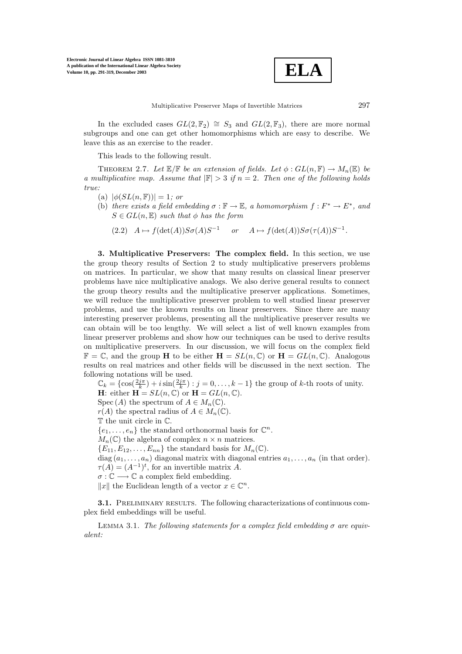**ELA**

In the excluded cases  $GL(2, \mathbb{F}_2) \cong S_3$  and  $GL(2, \mathbb{F}_3)$ , there are more normal subgroups and one can get other homomorphisms which are easy to describe. We leave this as an exercise to the reader.

This leads to the following result.

THEOREM 2.7. Let  $\mathbb{E}/\mathbb{F}$  *be an extension of fields. Let*  $\phi : GL(n, \mathbb{F}) \to M_n(\mathbb{E})$  *be a multiplicative map. Assume that*  $|\mathbb{F}| > 3$  *if*  $n = 2$ *. Then one of the following holds true:*

- (a)  $|\phi(SL(n, \mathbb{F}))| = 1$ *; or*
- (b) *there exists a field embedding*  $\sigma : \mathbb{F} \to \mathbb{E}$ *, a homomorphism*  $f : F^* \to E^*$ *, and*  $S \in GL(n, \mathbb{E})$  *such that*  $\phi$  *has the form* 
	- (2.2)  $A \mapsto f(\det(A))S\sigma(A)S^{-1}$  or  $A \mapsto f(\det(A))S\sigma(\tau(A))S^{-1}$ .

**3. Multiplicative Preservers: The complex field.** In this section, we use the group theory results of Section 2 to study multiplicative preservers problems on matrices. In particular, we show that many results on classical linear preserver problems have nice multiplicative analogs. We also derive general results to connect the group theory results and the multiplicative preserver applications. Sometimes, we will reduce the multiplicative preserver problem to well studied linear preserver problems, and use the known results on linear preservers. Since there are many interesting preserver problems, presenting all the multiplicative preserver results we can obtain will be too lengthy. We will select a list of well known examples from linear preserver problems and show how our techniques can be used to derive results on multiplicative preservers. In our discussion, we will focus on the complex field  $\mathbb{F} = \mathbb{C}$ , and the group **H** to be either  $\mathbf{H} = SL(n, \mathbb{C})$  or  $\mathbf{H} = GL(n, \mathbb{C})$ . Analogous results on real matrices and other fields will be discussed in the next section. The following notations will be used.

 $\mathbb{C}_k = \{ \cos(\frac{2j\pi}{k}) + i \sin(\frac{2j\pi}{k}) : j = 0, \dots, k-1 \}$  the group of k-th roots of unity.

**H**: either  $\mathbf{H} = SL(n, \mathbb{C})$  or  $\mathbf{H} = GL(n, \mathbb{C})$ .

Spec (A) the spectrum of  $A \in M_n(\mathbb{C})$ .

 $r(A)$  the spectral radius of  $A \in M_n(\mathbb{C})$ .

T the unit circle in C.

 $\{e_1,\ldots,e_n\}$  the standard orthonormal basis for  $\mathbb{C}^n$ .

 $M_n(\mathbb{C})$  the algebra of complex  $n \times n$  matrices.

 ${E_{11}, E_{12}, \ldots, E_{nn}}$  the standard basis for  $M_n(\mathbb{C})$ .

diag  $(a_1, \ldots, a_n)$  diagonal matrix with diagonal entries  $a_1, \ldots, a_n$  (in that order).  $\tau(A) = (A^{-1})^t$ , for an invertible matrix A.

 $\sigma : \mathbb{C} \longrightarrow \mathbb{C}$  a complex field embedding.

 $||x||$  the Euclidean length of a vector  $x \in \mathbb{C}^n$ .

**3.1.** PRELIMINARY RESULTS. The following characterizations of continuous complex field embeddings will be useful.

Lemma 3.1. *The following statements for a complex field embedding* σ *are equivalent:*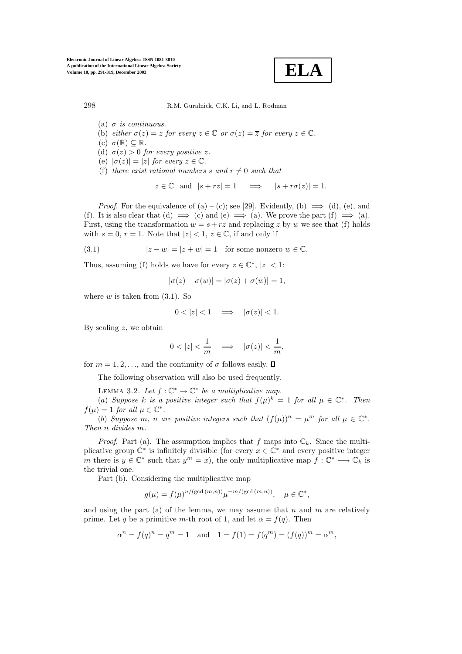**ELA**

- (a)  $\sigma$  *is continuous.*
- (b) *either*  $\sigma(z) = z$  *for every*  $z \in \mathbb{C}$  *or*  $\sigma(z) = \overline{z}$  *for every*  $z \in \mathbb{C}$ *.*
- (c)  $\sigma(\mathbb{R}) \subseteq \mathbb{R}$ .
- (d)  $\sigma(z) > 0$  *for every positive* z.
- (e)  $|\sigma(z)| = |z|$  *for every*  $z \in \mathbb{C}$ *.*
- (f) *there exist rational numbers* s and  $r \neq 0$  *such that*

$$
z \in \mathbb{C}
$$
 and  $|s + rz| = 1 \implies |s + r\sigma(z)| = 1$ .

*Proof.* For the equivalence of (a) – (c); see [29]. Evidently, (b)  $\implies$  (d), (e), and (f). It is also clear that (d)  $\implies$  (c) and (e)  $\implies$  (a). We prove the part (f)  $\implies$  (a). First, using the transformation  $w = s + rz$  and replacing z by w we see that (f) holds with  $s = 0$ ,  $r = 1$ . Note that  $|z| < 1$ ,  $z \in \mathbb{C}$ , if and only if

(3.1) 
$$
|z - w| = |z + w| = 1 \text{ for some nonzero } w \in \mathbb{C}.
$$

Thus, assuming (f) holds we have for every  $z \in \mathbb{C}^*$ ,  $|z| < 1$ :

$$
|\sigma(z) - \sigma(w)| = |\sigma(z) + \sigma(w)| = 1,
$$

where  $w$  is taken from  $(3.1)$ . So

$$
0 < |z| < 1 \quad \Longrightarrow \quad |\sigma(z)| < 1.
$$

By scaling  $z$ , we obtain

$$
0<|z|<\frac{1}{m}\quad\Longrightarrow\quad|\sigma(z)|<\frac{1}{m},
$$

for  $m = 1, 2, \ldots$ , and the continuity of  $\sigma$  follows easily.  $\Box$ 

The following observation will also be used frequently.

LEMMA 3.2. Let  $f: \mathbb{C}^* \to \mathbb{C}^*$  be a multiplicative map.

(a) *Suppose* k *is a positive integer such that*  $f(\mu)^k = 1$  *for all*  $\mu \in \mathbb{C}^*$ *. Then*  $f(\mu)=1$  *for all*  $\mu \in \mathbb{C}^*$ .

(b) *Suppose* m, n are positive integers such that  $(f(\mu))^n = \mu^m$  for all  $\mu \in \mathbb{C}^*$ . *Then* n *divides* m*.*

*Proof.* Part (a). The assumption implies that f maps into  $\mathbb{C}_k$ . Since the multiplicative group  $\mathbb{C}^*$  is infinitely divisible (for every  $x \in \mathbb{C}^*$  and every positive integer m there is  $y \in \mathbb{C}^*$  such that  $y^m = x$ , the only multiplicative map  $f : \mathbb{C}^* \longrightarrow \mathbb{C}_k$  is the trivial one.

Part (b). Considering the multiplicative map

$$
g(\mu) = f(\mu)^{n/(\gcd(m,n))} \mu^{-m/(\gcd(m,n))}, \quad \mu \in \mathbb{C}^*,
$$

and using the part (a) of the lemma, we may assume that n and m are relatively prime. Let q be a primitive m-th root of 1, and let  $\alpha = f(q)$ . Then

$$
\alpha^n = f(q)^n = q^m = 1
$$
 and  $1 = f(1) = f(q^m) = (f(q))^m = \alpha^m$ ,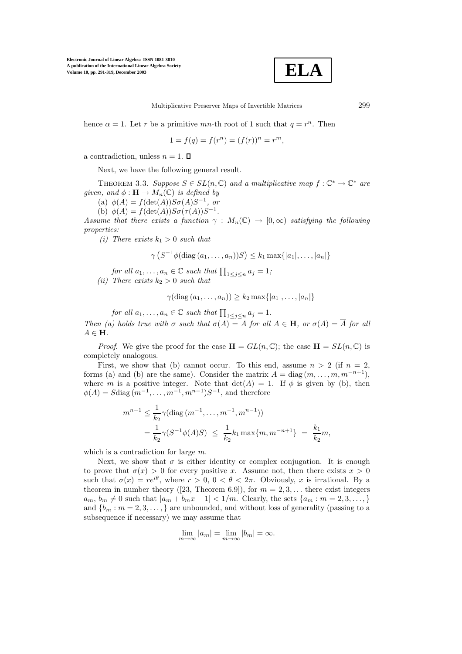

Multiplicative Preserver Maps of Invertible Matrices 299

hence  $\alpha = 1$ . Let r be a primitive mn-th root of 1 such that  $q = r^n$ . Then

$$
1 = f(q) = f(r^n) = (f(r))^n = r^m,
$$

a contradiction, unless  $n = 1$ .  $\Box$ 

Next, we have the following general result.

THEOREM 3.3. *Suppose*  $S \in SL(n, \mathbb{C})$  *and a multiplicative map*  $f : \mathbb{C}^* \to \mathbb{C}^*$  *are given, and*  $\phi : \mathbf{H} \to M_n(\mathbb{C})$  *is defined by* 

(a)  $\phi(A) = f(\det(A))S\sigma(A)S^{-1}$ , or

(b)  $\phi(A) = f(\det(A))S\sigma(\tau(A))S^{-1}$ .

*Assume that there exists a function*  $\gamma : M_n(\mathbb{C}) \to [0, \infty)$  *satisfying the following properties:*

*(i)* There exists  $k_1 > 0$  *such that* 

$$
\gamma\left(S^{-1}\phi(\text{diag}(a_1,\ldots,a_n))S\right)\leq k_1\max\{|a_1|,\ldots,|a_n|\}
$$

*for all*  $a_1, \ldots, a_n \in \mathbb{C}$  *such that*  $\prod_{1 \leq j \leq n} a_j = 1$ ;

*(ii)* There exists  $k_2 > 0$  *such that* 

$$
\gamma(\text{diag}(a_1,\ldots,a_n)) \geq k_2 \max\{|a_1|,\ldots,|a_n|\}
$$

*for all*  $a_1, \ldots, a_n \in \mathbb{C}$  *such that*  $\prod_{1 \leq j \leq n} a_j = 1$ *. Then* (a) holds true with  $\sigma$  *such that*  $\sigma(A) = A$  *for all*  $A \in \mathbf{H}$ *, or*  $\sigma(A) = \overline{A}$  *for all*  $A \in \mathbf{H}$ *.* 

*Proof.* We give the proof for the case  $\mathbf{H} = GL(n, \mathbb{C})$ ; the case  $\mathbf{H} = SL(n, \mathbb{C})$  is completely analogous.

First, we show that (b) cannot occur. To this end, assume  $n > 2$  (if  $n = 2$ , forms (a) and (b) are the same). Consider the matrix  $A = \text{diag}(m, \ldots, m, m^{-n+1}),$ where m is a positive integer. Note that  $det(A) = 1$ . If  $\phi$  is given by (b), then  $\phi(A) = S \text{diag}(m^{-1}, \ldots, m^{-1}, m^{n-1}) S^{-1}$ , and therefore

$$
m^{n-1} \le \frac{1}{k_2} \gamma(\text{diag}(m^{-1}, \dots, m^{-1}, m^{n-1}))
$$
  
=  $\frac{1}{k_2} \gamma(S^{-1}\phi(A)S) \le \frac{1}{k_2} k_1 \max\{m, m^{-n+1}\} = \frac{k_1}{k_2} m,$ 

which is a contradiction for large  $m$ .

Next, we show that  $\sigma$  is either identity or complex conjugation. It is enough to prove that  $\sigma(x) > 0$  for every positive x. Assume not, then there exists  $x > 0$ such that  $\sigma(x) = re^{i\theta}$ , where  $r > 0$ ,  $0 < \theta < 2\pi$ . Obviously, x is irrational. By a theorem in number theory ([23, Theorem 6.9]), for  $m = 2, 3, \ldots$  there exist integers  $a_m, b_m \neq 0$  such that  $|a_m + b_m x - 1| < 1/m$ . Clearly, the sets  $\{a_m : m = 2, 3, \dots, \}$ and  ${b_m : m = 2, 3, ...,}$  are unbounded, and without loss of generality (passing to a subsequence if necessary) we may assume that

$$
\lim_{m \to \infty} |a_m| = \lim_{m \to \infty} |b_m| = \infty.
$$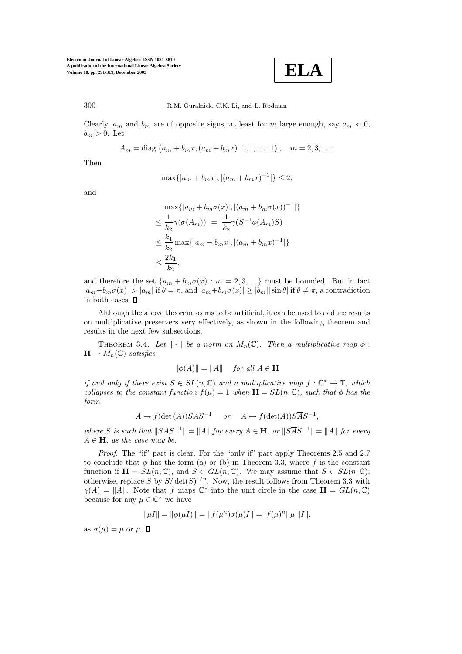**ELA**

300 R.M. Guralnick, C.K. Li, and L. Rodman

Clearly,  $a_m$  and  $b_m$  are of opposite signs, at least for m large enough, say  $a_m < 0$ ,  $b_m > 0$ . Let

$$
A_m = \text{diag}(a_m + b_m x, (a_m + b_m x)^{-1}, 1, \dots, 1), \quad m = 2, 3, \dots
$$

Then

$$
\max\{|a_m + b_mx|, |(a_m + b_mx)^{-1}|\} \le 2,
$$

and

$$
\max\{|a_m + b_m\sigma(x)|, |(a_m + b_m\sigma(x))^{-1}|\}
$$
  
\n
$$
\leq \frac{1}{k_2}\gamma(\sigma(A_m)) = \frac{1}{k_2}\gamma(S^{-1}\phi(A_m)S)
$$
  
\n
$$
\leq \frac{k_1}{k_2}\max\{|a_m + b_mx|, |(a_m + b_mx)^{-1}|\}
$$
  
\n
$$
\leq \frac{2k_1}{k_2},
$$

and therefore the set  $\{a_m + b_m \sigma(x) : m = 2, 3, ...\}$  must be bounded. But in fact  $|a_m+b_m\sigma(x)|>|a_m|$  if  $\theta=\pi$ , and  $|a_m+b_m\sigma(x)|\geq |b_m||\sin\theta|$  if  $\theta\neq\pi$ , a contradiction in both cases.  $\Box$ 

Although the above theorem seems to be artificial, it can be used to deduce results on multiplicative preservers very effectively, as shown in the following theorem and results in the next few subsections.

THEOREM 3.4. Let  $\|\cdot\|$  be a norm on  $M_n(\mathbb{C})$ . Then a multiplicative map  $\phi$ :  $\mathbf{H} \to M_n(\mathbb{C})$  *satisfies* 

$$
\|\phi(A)\| = \|A\| \quad \text{for all } A \in \mathbf{H}
$$

*if and only if there exist*  $S \in SL(n, \mathbb{C})$  *and a multiplicative map*  $f : \mathbb{C}^* \to \mathbb{T}$ *, which collapses to the constant function*  $f(\mu) = 1$  *when*  $\mathbf{H} = SL(n, \mathbb{C})$ *, such that*  $\phi$  *has the form*

$$
A \mapsto f(\det(A))SAS^{-1}
$$
 or  $A \mapsto f(\det(A))S\overline{A}S^{-1}$ ,

*where* S *is such that*  $||SAS^{-1}|| = ||A||$  *for every*  $A \in \mathbf{H}$ *, or*  $||S\overline{AS^{-1}}|| = ||A||$  *for every*  $A \in \mathbf{H}$ *, as the case may be.* 

*Proof.* The "if" part is clear. For the "only if" part apply Theorems 2.5 and 2.7 to conclude that  $\phi$  has the form (a) or (b) in Theorem 3.3, where f is the constant function if  $\mathbf{H} = SL(n, \mathbb{C})$ , and  $S \in GL(n, \mathbb{C})$ . We may assume that  $S \in SL(n, \mathbb{C})$ ; otherwise, replace S by  $S/\det(S)^{1/n}$ . Now, the result follows from Theorem 3.3 with  $\gamma(A) = ||A||$ . Note that f maps  $\mathbb{C}^*$  into the unit circle in the case  $\mathbf{H} = GL(n, \mathbb{C})$ because for any  $\mu \in \mathbb{C}^*$  we have

$$
\|\mu I\| = \|\phi(\mu I)\| = \|f(\mu^n)\sigma(\mu)I\| = |f(\mu)^n||\mu|||I\|,
$$

as  $\sigma(\mu) = \mu$  or  $\bar{\mu}$ .  $\Box$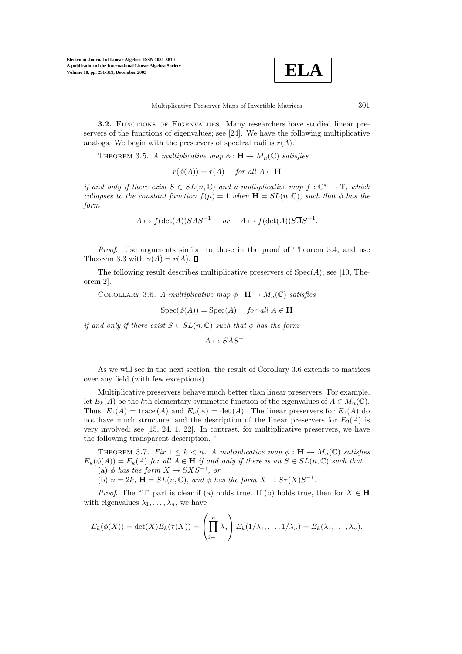

**3.2.** FUNCTIONS OF EIGENVALUES. Many researchers have studied linear preservers of the functions of eigenvalues; see [24]. We have the following multiplicative analogs. We begin with the preservers of spectral radius  $r(A)$ .

THEOREM 3.5. *A multiplicative map*  $\phi : \mathbf{H} \to M_n(\mathbb{C})$  *satisfies* 

 $r(\phi(A)) = r(A)$  *for all*  $A \in \mathbf{H}$ 

*if and only if there exist*  $S \in SL(n, \mathbb{C})$  *and a multiplicative map*  $f : \mathbb{C}^* \to \mathbb{T}$ *, which collapses to the constant function*  $f(\mu) = 1$  *when*  $\mathbf{H} = SL(n, \mathbb{C})$ *, such that*  $\phi$  *has the form*

$$
A \mapsto f(\det(A))SAS^{-1}
$$
 or  $A \mapsto f(\det(A))S\overline{A}S^{-1}$ .

*Proof*. Use arguments similar to those in the proof of Theorem 3.4, and use Theorem 3.3 with  $\gamma(A) = r(A)$ .  $\Box$ 

The following result describes multiplicative preservers of  $Spec(A)$ ; see [10, Theorem 2].

COROLLARY 3.6. *A multiplicative map*  $\phi : \mathbf{H} \to M_n(\mathbb{C})$  *satisfies* 

$$
Spec(\phi(A)) = Spec(A) \quad for all  $A \in \mathbf{H}$
$$

*if and only if there exist*  $S \in SL(n, \mathbb{C})$  *such that*  $\phi$  *has the form* 

$$
A \mapsto SAS^{-1}.
$$

As we will see in the next section, the result of Corollary 3.6 extends to matrices over any field (with few exceptions).

Multiplicative preservers behave much better than linear preservers. For example, let  $E_k(A)$  be the kth elementary symmetric function of the eigenvalues of  $A \in M_n(\mathbb{C})$ . Thus,  $E_1(A) = \text{trace}(A)$  and  $E_n(A) = \text{det}(A)$ . The linear preservers for  $E_1(A)$  do not have much structure, and the description of the linear preservers for  $E_2(A)$  is very involved; see [15, 24, 1, 22]. In contrast, for multiplicative preservers, we have the following transparent description. '

THEOREM 3.7. *Fix*  $1 \leq k < n$ . A multiplicative map  $\phi : \mathbf{H} \to M_n(\mathbb{C})$  satisfies  $E_k(\phi(A)) = E_k(A)$  *for all*  $A \in \mathbf{H}$  *if and only if there is an*  $S \in SL(n, \mathbb{C})$  *such that* (a)  $\phi$  *has the form*  $X \mapsto S X S^{-1}$ *, or* 

(b)  $n = 2k$ ,  $\mathbf{H} = SL(n, \mathbb{C})$ , and  $\phi$  has the form  $X \mapsto S_{\tau}(X)S^{-1}$ .

*Proof.* The "if" part is clear if (a) holds true. If (b) holds true, then for  $X \in H$ with eigenvalues  $\lambda_1, \ldots, \lambda_n$ , we have

$$
E_k(\phi(X)) = \det(X)E_k(\tau(X)) = \left(\prod_{j=1}^n \lambda_j\right)E_k(1/\lambda_1,\ldots,1/\lambda_n) = E_k(\lambda_1,\ldots,\lambda_n).
$$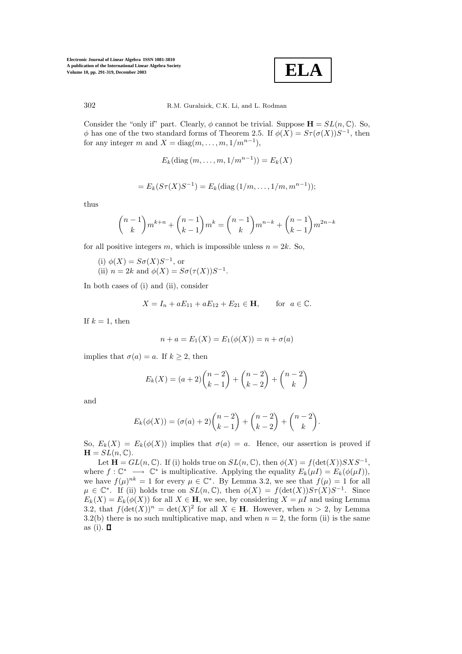

302 R.M. Guralnick, C.K. Li, and L. Rodman

Consider the "only if" part. Clearly,  $\phi$  cannot be trivial. Suppose  $\mathbf{H} = SL(n, \mathbb{C})$ . So,  $\phi$  has one of the two standard forms of Theorem 2.5. If  $\phi(X) = S\tau(\sigma(X))S^{-1}$ , then for any integer m and  $X = \text{diag}(m, \ldots, m, 1/m^{n-1}),$ 

$$
E_k(\text{diag}(m,\ldots,m,1/m^{n-1}))=E_k(X)
$$

$$
= E_k(S\tau(X)S^{-1}) = E_k(\text{diag}(1/m,\ldots,1/m,m^{n-1}));
$$

thus

$$
\binom{n-1}{k}m^{k+n} + \binom{n-1}{k-1}m^k = \binom{n-1}{k}m^{n-k} + \binom{n-1}{k-1}m^{2n-k}
$$

for all positive integers m, which is impossible unless  $n = 2k$ . So,

- (i)  $\phi(X) = S\sigma(X)S^{-1}$ , or
- (ii)  $n = 2k$  and  $\phi(X) = S\sigma(\tau(X))S^{-1}$ .

In both cases of (i) and (ii), consider

$$
X = I_n + aE_{11} + aE_{12} + E_{21} \in \mathbf{H}
$$
, for  $a \in \mathbb{C}$ .

If  $k = 1$ , then

$$
n + a = E_1(X) = E_1(\phi(X)) = n + \sigma(a)
$$

implies that  $\sigma(a) = a$ . If  $k \geq 2$ , then

$$
E_k(X) = (a+2) \binom{n-2}{k-1} + \binom{n-2}{k-2} + \binom{n-2}{k}
$$

and

$$
E_k(\phi(X)) = (\sigma(a) + 2){\binom{n-2}{k-1}} + {\binom{n-2}{k-2}} + {\binom{n-2}{k}}.
$$

So,  $E_k(X) = E_k(\phi(X))$  implies that  $\sigma(a) = a$ . Hence, our assertion is proved if  $\mathbf{H} = SL(n, \mathbb{C}).$ 

Let **H** =  $GL(n,\mathbb{C})$ . If (i) holds true on  $SL(n,\mathbb{C})$ , then  $\phi(X) = f(\det(X))SXS^{-1}$ , where  $f: \mathbb{C}^* \longrightarrow \mathbb{C}^*$  is multiplicative. Applying the equality  $E_k(\mu I) = E_k(\phi(\mu I)),$ we have  $f(\mu)^{nk} = 1$  for every  $\mu \in \mathbb{C}^*$ . By Lemma 3.2, we see that  $f(\mu) = 1$  for all  $\mu \in \mathbb{C}^*$ . If (ii) holds true on  $SL(n,\mathbb{C})$ , then  $\phi(X) = f(\det(X))S\tau(X)S^{-1}$ . Since  $E_k(X) = E_k(\phi(X))$  for all  $X \in \mathbf{H}$ , we see, by considering  $X = \mu I$  and using Lemma 3.2, that  $f(\det(X))^n = \det(X)^2$  for all  $X \in \mathbf{H}$ . However, when  $n > 2$ , by Lemma 3.2(b) there is no such multiplicative map, and when  $n = 2$ , the form (ii) is the same as (i).  $\square$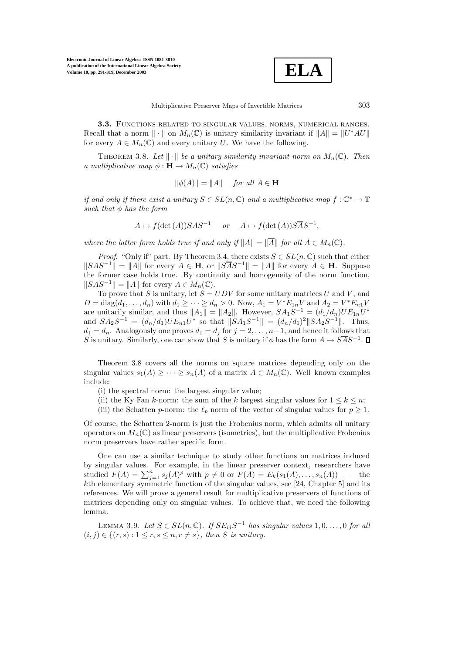**ELA**

**3.3.** Functions related to singular values, norms, numerical ranges. Recall that a norm  $\|\cdot\|$  on  $M_n(\mathbb{C})$  is unitary similarity invariant if  $\|A\| = \|U^*AU\|$ for every  $A \in M_n(\mathbb{C})$  and every unitary U. We have the following.

THEOREM 3.8. Let  $\|\cdot\|$  be a unitary similarity invariant norm on  $M_n(\mathbb{C})$ . Then *a multiplicative map*  $\phi : \mathbf{H} \to M_n(\mathbb{C})$  *satisfies* 

$$
\|\phi(A)\| = \|A\| \quad \text{for all } A \in \mathbf{H}
$$

*if and only if there exist a unitary*  $S \in SL(n, \mathbb{C})$  *and a multiplicative map*  $f : \mathbb{C}^* \to \mathbb{T}$ *such that* φ *has the form*

$$
A \mapsto f(\det(A))SAS^{-1}
$$
 or  $A \mapsto f(\det(A))S\overline{A}S^{-1}$ ,

*where the latter form holds true if and only if*  $||A|| = ||\overline{A}||$  *for all*  $A \in M_n(\mathbb{C})$ *.* 

*Proof.* "Only if" part. By Theorem 3.4, there exists  $S \in SL(n, \mathbb{C})$  such that either  $||SAS^{-1}|| = ||A||$  for every  $A \in H$ , or  $||SAS^{-1}|| = ||A||$  for every  $A \in H$ . Suppose the former case holds true. By continuity and homogeneity of the norm function,  $||SAS^{-1}|| = ||A||$  for every  $A \in M_n(\mathbb{C})$ .

To prove that S is unitary, let  $S = UDV$  for some unitary matrices U and V, and  $D = \text{diag}(d_1, ..., d_n)$  with  $d_1 \geq ... \geq d_n > 0$ . Now,  $A_1 = V^* E_{1n} V$  and  $A_2 = V^* E_{n1} V$ are unitarily similar, and thus  $||A_1|| = ||A_2||$ . However,  $SA_1S^{-1} = (d_1/d_n)UE_{1n}U^*$ and  $SA_2S^{-1} = (d_n/d_1)UE_{n1}U^*$  so that  $||SA_1S^{-1}|| = (d_n/d_1)^2||SA_2S^{-1}||$ . Thus,  $d_1 = d_n$ . Analogously one proves  $d_1 = d_j$  for  $j = 2, \ldots, n-1$ , and hence it follows that S is unitary. Similarly, one can show that S is unitary if  $\phi$  has the form  $A \mapsto \overline{SAS^{-1}}$ .

Theorem 3.8 covers all the norms on square matrices depending only on the singular values  $s_1(A) \geq \cdots \geq s_n(A)$  of a matrix  $A \in M_n(\mathbb{C})$ . Well–known examples include:

- (i) the spectral norm: the largest singular value;
- (ii) the Ky Fan k-norm: the sum of the k largest singular values for  $1 \leq k \leq n$ ;
- (iii) the Schatten p-norm: the  $\ell_p$  norm of the vector of singular values for  $p \geq 1$ .

Of course, the Schatten 2-norm is just the Frobenius norm, which admits all unitary operators on  $M_n(\mathbb{C})$  as linear preservers (isometries), but the multiplicative Frobenius norm preservers have rather specific form.

One can use a similar technique to study other functions on matrices induced by singular values. For example, in the linear preserver context, researchers have studied  $F(A) = \sum_{j=1}^{n} s_j(A)^p$  with  $p \neq 0$  or  $F(A) = E_k(s_1(A), \ldots, s_n(A))$  – the kth elementary symmetric function of the singular values, see [24, Chapter 5] and its references. We will prove a general result for multiplicative preservers of functions of matrices depending only on singular values. To achieve that, we need the following lemma.

LEMMA 3.9. Let  $S ∈ SL(n, \mathbb{C})$ *.* If  $SE_{ij}S^{-1}$  *has singular values* 1,0,...,0 *for all*  $(i, j) \in \{(r, s): 1 \leq r, s \leq n, r \neq s\},\$  then *S* is unitary.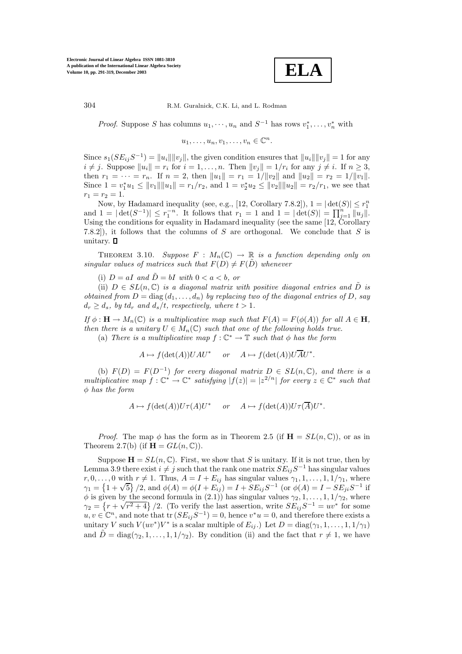**ELA**

*Proof.* Suppose S has columns  $u_1, \dots, u_n$  and  $S^{-1}$  has rows  $v_1^*, \dots, v_n^*$  with

$$
u_1, \ldots, u_n, v_1, \ldots, v_n \in \mathbb{C}^n.
$$

Since  $s_1(SE_{ij}S^{-1}) = ||u_i|| ||v_j||$ , the given condition ensures that  $||u_i|| ||v_j|| = 1$  for any  $i \neq j$ . Suppose  $||u_i|| = r_i$  for  $i = 1, \ldots, n$ . Then  $||v_i|| = 1/r_i$  for any  $j \neq i$ . If  $n \geq 3$ , then  $r_1 = \cdots = r_n$ . If  $n = 2$ , then  $||u_1|| = r_1 = 1/||v_2||$  and  $||u_2|| = r_2 = 1/||v_1||$ . Since  $1 = v_1^* u_1 \le ||v_1|| ||u_1|| = r_1/r_2$ , and  $1 = v_2^* u_2 \le ||v_2|| ||u_2|| = r_2/r_1$ , we see that  $r_1 = r_2 = 1.$ 

Now, by Hadamard inequality (see, e.g., [12, Corollary 7.8.2]),  $1 = |\det(S)| \le r_1^n$ and  $1 = |\det(S^{-1})| \le r_1^{-n}$ . It follows that  $r_1 = 1$  and  $1 = |\det(S)| = \prod_{j=1}^n ||u_j||$ . Using the conditions for equality in Hadamard inequality (see the same [12, Corollary 7.8.2]), it follows that the columns of S are orthogonal. We conclude that S is unitary.  $\square$ 

THEOREM 3.10. *Suppose*  $F : M_n(\mathbb{C}) \to \mathbb{R}$  *is a function depending only on singular values of matrices such that*  $F(D) \neq F(D)$  *whenever* 

(i)  $D = aI$  and  $\tilde{D} = bI$  with  $0 < a < b$ , or

(ii)  $D \in SL(n, \mathbb{C})$  *is a diagonal matrix with positive diagonal entries and*  $\tilde{D}$  *is obtained from*  $D = \text{diag}(d_1, \ldots, d_n)$  *by replacing two of the diagonal entries of*  $D$ *, say*  $d_r \geq d_s$ , by  $td_r$  and  $d_s/t$ , respectively, where  $t > 1$ .

*If*  $\phi$  : **H**  $\rightarrow$  *M<sub>n</sub>*( $\mathbb{C}$ ) *is a multiplicative map such that*  $F(A) = F(\phi(A))$  *for all*  $A \in$  **H***, then there is a unitary*  $U \in M_n(\mathbb{C})$  *such that one of the following holds true.* (a) *There is a multiplicative map*  $f: \mathbb{C}^* \to \mathbb{T}$  *such that*  $\phi$  *has the form* 

 $A \mapsto f(\det(A))UAU^*$  *or*  $A \mapsto f(\det(A))UAU^*$ .

(b)  $F(D) = F(D^{-1})$  *for every diagonal matrix*  $D \in SL(n, \mathbb{C})$ *, and there is a multiplicative map*  $f: \mathbb{C}^* \to \mathbb{C}^*$  *satisfying*  $|f(z)| = |z^{2/n}|$  *for every*  $z \in \mathbb{C}^*$  *such that* φ *has the form*

$$
A \mapsto f(\det(A))U\tau(A)U^*
$$
 or  $A \mapsto f(\det(A))U\tau(\overline{A})U^*$ .

*Proof.* The map  $\phi$  has the form as in Theorem 2.5 (if  $\mathbf{H} = SL(n, \mathbb{C})$ ), or as in Theorem 2.7(b) (if  $\mathbf{H} = GL(n, \mathbb{C})$ ).

Suppose  $\mathbf{H} = SL(n, \mathbb{C})$ . First, we show that S is unitary. If it is not true, then by Lemma 3.9 there exist  $i \neq j$  such that the rank one matrix  $SE_{ij}S^{-1}$  has singular values  $r, 0, \ldots, 0$  with  $r \neq 1$ . Thus,  $A = I + E_{ij}$  has singular values  $\gamma_1, 1, \ldots, 1, 1/\gamma_1$ , where  $\gamma_1, \gamma_2, \ldots, \gamma_k$  when  $r \neq 1$ . Thus,  $A = I + E_{ij}$  has singular values  $\gamma_1, 1, \ldots, 1, 1/\gamma_1$ , where  $\gamma_1 = \{1 + \sqrt{5}\} / 2$ , and  $\phi(A) = \phi(I + E_{ij}) = I + SE_{ij}S^{-1}$  (or  $\phi(A) = I - SE_{ji}S^{-1}$  if  $\phi$  is given by the second formula in (2.1)) has singular values  $\gamma_2, 1, \ldots, 1, 1/\gamma_2$ , where  $\gamma_2 = \{r + \sqrt{r^2 + 4}\}/2$ . (To verify the last assertion, write  $SE_{ij}S^{-1} = uv^*$  for some  $\gamma_2 = \{r + \sqrt{r^2 + 4}\}/2$ .  $u, v \in \mathbb{C}^n$ , and note that tr  $(SE_{ij}S^{-1}) = 0$ , hence  $v^*u = 0$ , and therefore there exists a unitary V such  $V(uv^*)V^*$  is a scalar multiple of  $E_{ij}$ .) Let  $D = \text{diag}(\gamma_1, 1, \ldots, 1, 1/\gamma_1)$ and  $\tilde{D} = \text{diag}(\gamma_2, 1, \ldots, 1, 1/\gamma_2)$ . By condition (ii) and the fact that  $r \neq 1$ , we have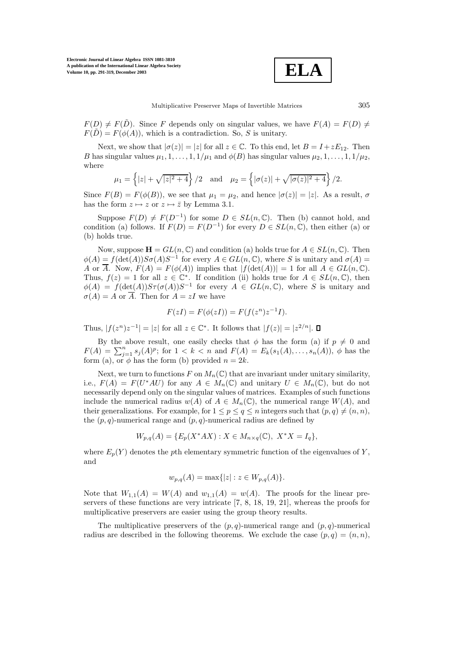**ELA**

 $F(D) \neq F(D)$ . Since F depends only on singular values, we have  $F(A) = F(D) \neq$  $F(\tilde{D}) = F(\phi(A))$ , which is a contradiction. So, S is unitary.

Next, we show that  $|\sigma(z)| = |z|$  for all  $z \in \mathbb{C}$ . To this end, let  $B = I + zE_{12}$ . Then B has singular values  $\mu_1, 1, \ldots, 1, 1/\mu_1$  and  $\phi(B)$  has singular values  $\mu_2, 1, \ldots, 1, 1/\mu_2$ , where

$$
\mu_1 = \left\{ |z| + \sqrt{|z|^2 + 4} \right\} / 2
$$
 and  $\mu_2 = \left\{ |\sigma(z)| + \sqrt{|\sigma(z)|^2 + 4} \right\} / 2.$ 

Since  $F(B) = F(\phi(B))$ , we see that  $\mu_1 = \mu_2$ , and hence  $|\sigma(z)| = |z|$ . As a result,  $\sigma$ has the form  $z \mapsto z$  or  $z \mapsto \overline{z}$  by Lemma 3.1.

Suppose  $F(D) \neq F(D^{-1})$  for some  $D \in SL(n, \mathbb{C})$ . Then (b) cannot hold, and condition (a) follows. If  $F(D) = F(D^{-1})$  for every  $D \in SL(n, \mathbb{C})$ , then either (a) or (b) holds true.

Now, suppose  $\mathbf{H} = GL(n, \mathbb{C})$  and condition (a) holds true for  $A \in SL(n, \mathbb{C})$ . Then  $\phi(A) = f(\det(A))S\sigma(A)S^{-1}$  for every  $A \in GL(n, \mathbb{C})$ , where S is unitary and  $\sigma(A) =$ A or  $\overline{A}$ . Now,  $F(A) = F(\phi(A))$  implies that  $|f(\det(A))| = 1$  for all  $A \in GL(n, \mathbb{C})$ . Thus,  $f(z) = 1$  for all  $z \in \mathbb{C}^*$ . If condition (ii) holds true for  $A \in SL(n, \mathbb{C})$ , then  $\phi(A) = f(\det(A))S\tau(\sigma(A))S^{-1}$  for every  $A \in GL(n,\mathbb{C})$ , where S is unitary and  $\sigma(A) = A$  or  $\overline{A}$ . Then for  $A = zI$  we have

$$
F(zI) = F(\phi(zI)) = F(f(z^n)z^{-1}I).
$$

Thus,  $|f(z^n)z^{-1}| = |z|$  for all  $z \in \mathbb{C}^*$ . It follows that  $|f(z)| = |z^{2/n}|$ .  $\Box$ 

By the above result, one easily checks that  $\phi$  has the form (a) if  $p \neq 0$  and  $F(A) = \sum_{j=1}^{n} s_j(A)^p$ ; for  $1 < k < n$  and  $F(A) = E_k(s_1(A), \ldots, s_n(A)), \phi$  has the form (a), or  $\phi$  has the form (b) provided  $n = 2k$ .

Next, we turn to functions F on  $M_n(\mathbb{C})$  that are invariant under unitary similarity, i.e.,  $F(A) = F(U^*AU)$  for any  $A \in M_n(\mathbb{C})$  and unitary  $U \in M_n(\mathbb{C})$ , but do not necessarily depend only on the singular values of matrices. Examples of such functions include the numerical radius  $w(A)$  of  $A \in M_n(\mathbb{C})$ , the numerical range  $W(A)$ , and their generalizations. For example, for  $1 \leq p \leq q \leq n$  integers such that  $(p, q) \neq (n, n)$ , the  $(p, q)$ -numerical range and  $(p, q)$ -numerical radius are defined by

$$
W_{p,q}(A) = \{ E_p(X^*AX) : X \in M_{n \times q}(\mathbb{C}), \ X^*X = I_q \},
$$

where  $E_p(Y)$  denotes the pth elementary symmetric function of the eigenvalues of Y, and

$$
w_{p,q}(A) = \max\{|z| : z \in W_{p,q}(A)\}.
$$

Note that  $W_{1,1}(A) = W(A)$  and  $w_{1,1}(A) = w(A)$ . The proofs for the linear preservers of these functions are very intricate [7, 8, 18, 19, 21], whereas the proofs for multiplicative preservers are easier using the group theory results.

The multiplicative preservers of the  $(p, q)$ -numerical range and  $(p, q)$ -numerical radius are described in the following theorems. We exclude the case  $(p, q)=(n, n)$ ,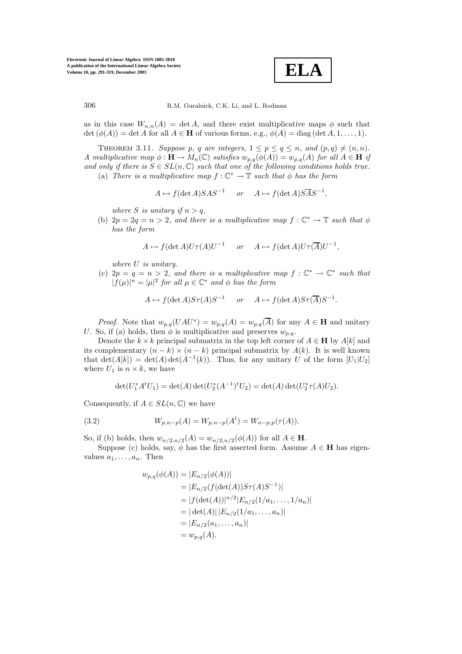**ELA**

as in this case  $W_{n,n}(A) = \det A$ , and there exist multiplicative maps  $\phi$  such that  $\det (\phi(A)) = \det A$  for all  $A \in \mathbf{H}$  of various forms, e.g.,  $\phi(A) = \text{diag}(\det A, 1, \ldots, 1)$ .

THEOREM 3.11. Suppose p, q are integers,  $1 \leq p \leq q \leq n$ , and  $(p,q) \neq (n,n)$ . *A multiplicative map*  $\phi : \mathbf{H} \to M_n(\mathbb{C})$  *satisfies*  $w_{p,q}(\phi(A)) = w_{p,q}(A)$  *for all*  $A \in \mathbf{H}$  *if* and only if there is  $S \in SL(n, \mathbb{C})$  such that one of the following conditions holds true. (a) *There is a multiplicative map*  $f: \mathbb{C}^* \to \mathbb{T}$  *such that*  $\phi$  *has the form* 

$$
A \mapsto f(\det A)SAS^{-1}
$$
 or  $A \mapsto f(\det A)S\overline{A}S^{-1}$ ,

*where S is unitary if*  $n > q$ *.* 

(b)  $2p = 2q = n > 2$ *, and there is a multiplicative map*  $f: \mathbb{C}^* \to \mathbb{T}$  *such that*  $\phi$ *has the form*

$$
A \mapsto f(\det A)U\tau(A)U^{-1} \quad or \quad A \mapsto f(\det A)U\tau(\overline{A})U^{-1},
$$

*where* U *is unitary.*

(c)  $2p = q = n > 2$ , and there is a multiplicative map  $f: \mathbb{C}^* \to \mathbb{C}^*$  such that  $|f(\mu)|^n = |\mu|^2$  *for all*  $\mu \in \mathbb{C}^*$  *and*  $\phi$  *has the form* 

$$
A \mapsto f(\det A)S\tau(A)S^{-1} \quad or \quad A \mapsto f(\det A)S\tau(\overline A)S^{-1}.
$$

*Proof.* Note that  $w_{p,q}(UAU^*) = w_{p,q}(A) = w_{p,q}(\overline{A})$  for any  $A \in \mathbf{H}$  and unitary U. So, if (a) holds, then  $\phi$  is multiplicative and preserves  $w_{p,q}$ .

Denote the  $k \times k$  principal submatrix in the top left corner of  $A \in \mathbf{H}$  by  $A[k]$  and its complementary  $(n - k) \times (n - k)$  principal submatrix by  $A(k)$ . It is well known that  $\det(A[k]) = \det(A) \det(A^{-1}(k))$ . Thus, for any unitary U of the form  $[U_1|U_2]$ where  $U_1$  is  $n \times k$ , we have

$$
\det(U_1^* A^t U_1) = \det(A) \det(U_2^* (A^{-1})^t U_2) = \det(A) \det(U_2^* \tau(A) U_2).
$$

Consequently, if  $A \in SL(n, \mathbb{C})$  we have

(3.2) 
$$
W_{p,n-p}(A) = W_{p,n-p}(A^t) = W_{n-p,p}(\tau(A)).
$$

So, if (b) holds, then  $w_{n/2,n/2}(A) = w_{n/2,n/2}(\phi(A))$  for all  $A \in \mathbf{H}$ .

Suppose (c) holds, say,  $\phi$  has the first asserted form. Assume  $A \in \mathbf{H}$  has eigenvalues  $a_1, \ldots, a_n$ . Then

$$
w_{p,q}(\phi(A)) = |E_{n/2}(\phi(A))|
$$
  
= |E\_{n/2}(f(\det(A))S\tau(A)S^{-1})|  
= |f(\det(A))|^{n/2}|E\_{n/2}(1/a\_1, ..., 1/a\_n)|  
= |\det(A)| |E\_{n/2}(1/a\_1, ..., a\_n)|  
= |E\_{n/2}(a\_1, ..., a\_n)|  
= w\_{p,q}(A).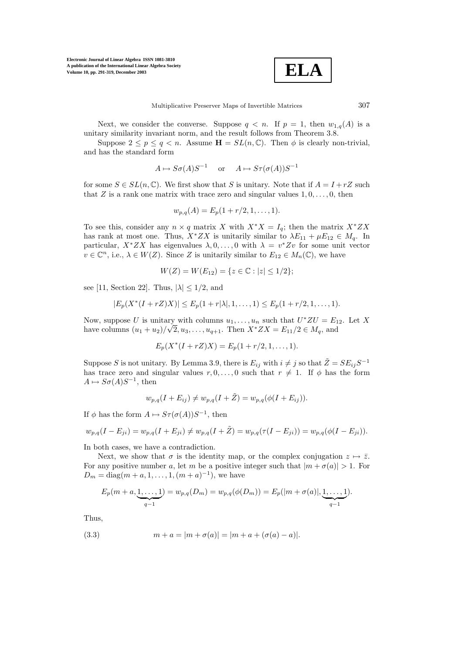

Next, we consider the converse. Suppose  $q \lt n$ . If  $p = 1$ , then  $w_{1,q}(A)$  is a unitary similarity invariant norm, and the result follows from Theorem 3.8.

Suppose  $2 \le p \le q < n$ . Assume  $\mathbf{H} = SL(n, \mathbb{C})$ . Then  $\phi$  is clearly non-trivial, and has the standard form

$$
A \mapsto S\sigma(A)S^{-1}
$$
 or  $A \mapsto S\tau(\sigma(A))S^{-1}$ 

for some  $S \in SL(n, \mathbb{C})$ . We first show that S is unitary. Note that if  $A = I + rZ$  such that Z is a rank one matrix with trace zero and singular values  $1, 0, \ldots, 0$ , then

$$
w_{p,q}(A) = E_p(1 + r/2, 1, \dots, 1).
$$

To see this, consider any  $n \times q$  matrix X with  $X^*X = I_q$ ; then the matrix  $X^*ZX$ has rank at most one. Thus,  $X^*ZX$  is unitarily similar to  $\lambda E_{11} + \mu E_{12} \in M_q$ . In particular,  $X^*ZX$  has eigenvalues  $\lambda, 0, \ldots, 0$  with  $\lambda = v^*Zv$  for some unit vector  $v \in \mathbb{C}^n$ , i.e.,  $\lambda \in W(Z)$ . Since Z is unitarily similar to  $E_{12} \in M_n(\mathbb{C})$ , we have

$$
W(Z) = W(E_{12}) = \{ z \in \mathbb{C} : |z| \le 1/2 \};
$$

see [11, Section 22]. Thus,  $|\lambda| \leq 1/2$ , and

$$
|E_p(X^*(I+rZ)X)| \le E_p(1+r|\lambda|,1,\ldots,1) \le E_p(1+r/2,1,\ldots,1).
$$

Now, suppose U is unitary with columns  $u_1, \ldots, u_n$  such that  $U^*ZU = E_{12}$ . Let X Now, suppose *U* is unitary with columns  $u_1, \ldots, u_n$  such that  $U'ZU = E_1$ <br>have columns  $(u_1 + u_2)/\sqrt{2}$ ,  $u_3, \ldots, u_{q+1}$ . Then  $X^*ZX = E_{11}/2 \in M_q$ , and

$$
E_p(X^*(I + rZ)X) = E_p(1 + r/2, 1, ..., 1).
$$

Suppose S is not unitary. By Lemma 3.9, there is  $E_{ij}$  with  $i \neq j$  so that  $\tilde{Z} = SE_{ij}S^{-1}$ has trace zero and singular values  $r, 0, \ldots, 0$  such that  $r \neq 1$ . If  $\phi$  has the form  $A \mapsto S\sigma(A)S^{-1}$ , then

$$
w_{p,q}(I + E_{ij}) \neq w_{p,q}(I + \tilde{Z}) = w_{p,q}(\phi(I + E_{ij})).
$$

If  $\phi$  has the form  $A \mapsto S\tau(\sigma(A))S^{-1}$ , then

$$
w_{p,q}(I - E_{ji}) = w_{p,q}(I + E_{ji}) \neq w_{p,q}(I + \tilde{Z}) = w_{p,q}(\tau(I - E_{ji})) = w_{p,q}(\phi(I - E_{ji})).
$$

In both cases, we have a contradiction.

Next, we show that  $\sigma$  is the identity map, or the complex conjugation  $z \mapsto \overline{z}$ . For any positive number a, let m be a positive integer such that  $|m + \sigma(a)| > 1$ . For  $D_m = \text{diag}(m + a, 1, \ldots, 1, (m + a)^{-1})$ , we have

$$
E_p(m+a, \underbrace{1, \ldots, 1}_{q-1}) = w_{p,q}(D_m) = w_{p,q}(\phi(D_m)) = E_p(|m+\sigma(a)|, \underbrace{1, \ldots, 1}_{q-1}).
$$

Thus,

(3.3) 
$$
m + a = |m + \sigma(a)| = |m + a + (\sigma(a) - a)|.
$$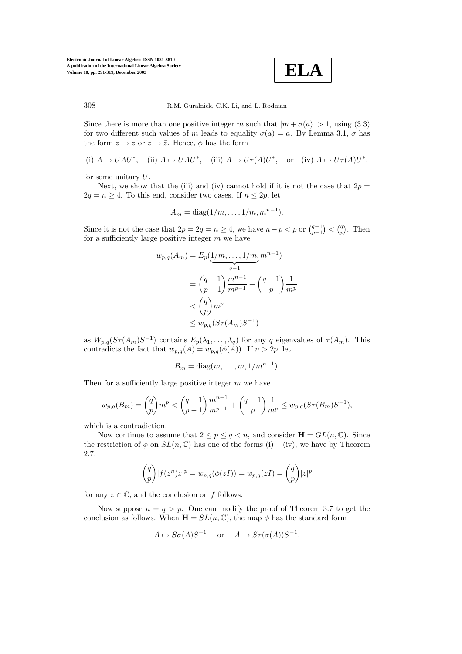

308 R.M. Guralnick, C.K. Li, and L. Rodman

Since there is more than one positive integer m such that  $|m + \sigma(a)| > 1$ , using (3.3) for two different such values of m leads to equality  $\sigma(a) = a$ . By Lemma 3.1,  $\sigma$  has the form  $z \mapsto z$  or  $z \mapsto \overline{z}$ . Hence,  $\phi$  has the form

(i) 
$$
A \mapsto UAU^*
$$
, (ii)  $A \mapsto U\overline{A}U^*$ , (iii)  $A \mapsto U\tau(A)U^*$ , or (iv)  $A \mapsto U\tau(\overline{A})U^*$ ,

for some unitary U.

Next, we show that the (iii) and (iv) cannot hold if it is not the case that  $2p =$  $2q = n \geq 4$ . To this end, consider two cases. If  $n \leq 2p$ , let

$$
A_m = \text{diag}(1/m, \ldots, 1/m, m^{n-1}).
$$

Since it is not the case that  $2p = 2q = n \ge 4$ , we have  $n - p < p$  or  $\binom{q-1}{p-1} < \binom{q}{p}$ . Then for a sufficiently large positive integer  $m$  we have

$$
w_{p,q}(A_m) = E_p(\underbrace{1/m, \dots, 1/m}_{q-1}, m^{n-1})
$$
  
=  $\binom{q-1}{p-1} \frac{m^{n-1}}{m^{p-1}} + \binom{q-1}{p} \frac{1}{m^p}$   
<  $\binom{q}{p} m^p$   
 $\leq w_{p,q}(S\tau(A_m)S^{-1})$ 

as  $W_{p,q}(S\tau(A_m)S^{-1})$  contains  $E_p(\lambda_1,\ldots,\lambda_q)$  for any q eigenvalues of  $\tau(A_m)$ . This contradicts the fact that  $w_{p,q}(A) = w_{p,q}(\phi(A))$ . If  $n > 2p$ , let

$$
B_m = \text{diag}(m, \dots, m, 1/m^{n-1}).
$$

Then for a sufficiently large positive integer  $m$  we have

$$
w_{p,q}(B_m) = {q \choose p} m^p < {q-1 \choose p-1} \frac{m^{n-1}}{m^{p-1}} + {q-1 \choose p} \frac{1}{m^p} \le w_{p,q}(S\tau(B_m)S^{-1}),
$$

which is a contradiction.

Now continue to assume that  $2 \leq p \leq q < n$ , and consider  $\mathbf{H} = GL(n, \mathbb{C})$ . Since the restriction of  $\phi$  on  $SL(n,\mathbb{C})$  has one of the forms (i) – (iv), we have by Theorem 2.7:

$$
\binom{q}{p}|f(z^n)z|^p = w_{p,q}(\phi(zI)) = w_{p,q}(zI) = \binom{q}{p}|z|^p
$$

for any  $z \in \mathbb{C}$ , and the conclusion on f follows.

Now suppose  $n = q > p$ . One can modify the proof of Theorem 3.7 to get the conclusion as follows. When  $\mathbf{H} = SL(n, \mathbb{C})$ , the map  $\phi$  has the standard form

$$
A \mapsto S\sigma(A)S^{-1}
$$
 or  $A \mapsto S\tau(\sigma(A))S^{-1}$ .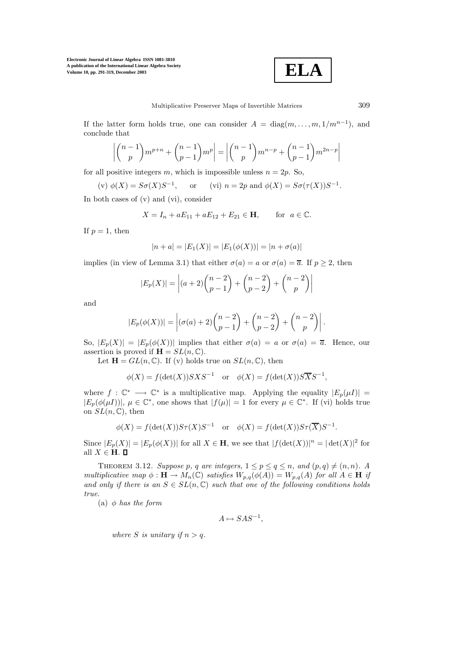

If the latter form holds true, one can consider  $A = \text{diag}(m, \ldots, m, 1/m^{n-1})$ , and conclude that

$$
\left| \binom{n-1}{p} m^{p+n} + \binom{n-1}{p-1} m^p \right| = \left| \binom{n-1}{p} m^{n-p} + \binom{n-1}{p-1} m^{2n-p} \right|
$$

for all positive integers m, which is impossible unless  $n = 2p$ . So,

(v) 
$$
\phi(X) = S\sigma(X)S^{-1}
$$
, or (vi)  $n = 2p$  and  $\phi(X) = S\sigma(\tau(X))S^{-1}$ .

In both cases of (v) and (vi), consider

$$
X = I_n + aE_{11} + aE_{12} + E_{21} \in \mathbf{H}
$$
, for  $a \in \mathbb{C}$ .

If  $p=1$ , then

$$
|n + a| = |E_1(X)| = |E_1(\phi(X))| = |n + \sigma(a)|
$$

implies (in view of Lemma 3.1) that either  $\sigma(a) = a$  or  $\sigma(a) = \overline{a}$ . If  $p > 2$ , then

$$
|E_p(X)| = |(a+2)\binom{n-2}{p-1} + \binom{n-2}{p-2} + \binom{n-2}{p}|
$$

and

$$
|E_p(\phi(X))| = \left| (\sigma(a) + 2) {n-2 \choose p-1} + {n-2 \choose p-2} + {n-2 \choose p} \right|.
$$

So,  $|E_p(X)| = |E_p(\phi(X))|$  implies that either  $\sigma(a) = a$  or  $\sigma(a) = \overline{a}$ . Hence, our assertion is proved if  $\mathbf{H} = SL(n, \mathbb{C})$ .

Let  $\mathbf{H} = GL(n, \mathbb{C})$ . If (v) holds true on  $SL(n, \mathbb{C})$ , then

$$
\phi(X) = f(\det(X))SXS^{-1} \text{ or } \phi(X) = f(\det(X))S\overline{X}S^{-1},
$$

where  $f: \mathbb{C}^* \longrightarrow \mathbb{C}^*$  is a multiplicative map. Applying the equality  $|E_p(\mu I)| =$  $|E_p(\phi(\mu I))|, \mu \in \mathbb{C}^*,$  one shows that  $|f(\mu)| = 1$  for every  $\mu \in \mathbb{C}^*$ . If (vi) holds true on  $SL(n,\mathbb{C})$ , then

$$
\phi(X) = f(\det(X))S\tau(X)S^{-1} \text{ or } \phi(X) = f(\det(X))S\tau(\overline{X})S^{-1}.
$$

Since  $|E_p(X)| = |E_p(\phi(X))|$  for all  $X \in \mathbf{H}$ , we see that  $|f(\det(X))|^n = |\det(X)|^2$  for all  $X \in H$ .  $\Box$ 

THEOREM 3.12. *Suppose* p, q are integers,  $1 \le p \le q \le n$ , and  $(p, q) \ne (n, n)$ . A *multiplicative map*  $\phi : \mathbf{H} \to M_n(\mathbb{C})$  *satisfies*  $W_{p,q}(\phi(A)) = W_{p,q}(A)$  *for all*  $A \in \mathbf{H}$  *if* and only if there is an  $S \in SL(n, \mathbb{C})$  such that one of the following conditions holds *true.*

(a) φ *has the form*

$$
A \mapsto SAS^{-1},
$$

*where S is unitary if*  $n > q$ *.*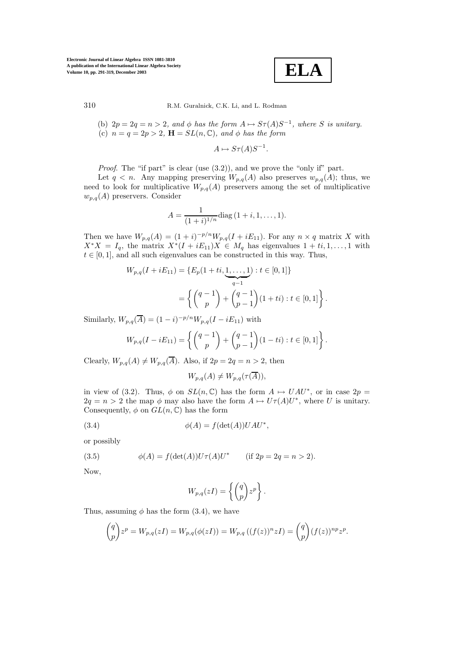

(b)  $2p = 2q = n > 2$ , and  $\phi$  has the form  $A \mapsto S_{\tau}(A)S^{-1}$ , where S is unitary. (c)  $n = q = 2p > 2$ ,  $\mathbf{H} = SL(n, \mathbb{C})$ , and  $\phi$  has the form

$$
A \mapsto S\tau(A)S^{-1}.
$$

*Proof.* The "if part" is clear (use  $(3.2)$ ), and we prove the "only if" part.

Let  $q < n$ . Any mapping preserving  $W_{p,q}(A)$  also preserves  $w_{p,q}(A)$ ; thus, we need to look for multiplicative  $W_{p,q}(A)$  preservers among the set of multiplicative  $w_{p,q}(A)$  preservers. Consider

$$
A = \frac{1}{(1+i)^{1/n}} \text{diag}\,(1+i,1,\ldots,1).
$$

Then we have  $W_{p,q}(A) = (1 + i)^{-p/n} W_{p,q}(I + iE_{11})$ . For any  $n \times q$  matrix X with  $X^*X = I_q$ , the matrix  $X^*(I + iE_{11})X \in M_q$  has eigenvalues  $1 + ti, 1, \ldots, 1$  with  $t \in [0, 1]$ , and all such eigenvalues can be constructed in this way. Thus,

$$
W_{p,q}(I + iE_{11}) = \{E_p(1 + ti, \underbrace{1, \dots, 1}_{q-1}) : t \in [0, 1]\}
$$
  
= 
$$
\left\{ \begin{pmatrix} q-1 \\ p \end{pmatrix} + \begin{pmatrix} q-1 \\ p-1 \end{pmatrix} (1 + ti) : t \in [0, 1] \right\}.
$$

Similarly,  $W_{p,q}(\overline{A}) = (1 - i)^{-p/n} W_{p,q}(I - iE_{11})$  with

$$
W_{p,q}(I - iE_{11}) = \left\{ \binom{q-1}{p} + \binom{q-1}{p-1} (1 - ti) : t \in [0,1] \right\}.
$$

Clearly,  $W_{p,q}(A) \neq W_{p,q}(\overline{A})$ . Also, if  $2p = 2q = n > 2$ , then

$$
W_{p,q}(A) \neq W_{p,q}(\tau(\overline{A})),
$$

in view of (3.2). Thus,  $\phi$  on  $SL(n,\mathbb{C})$  has the form  $A \mapsto UAU^*$ , or in case  $2p =$  $2q = n > 2$  the map  $\phi$  may also have the form  $A \mapsto U\tau(A)U^*$ , where U is unitary. Consequently,  $\phi$  on  $GL(n,\mathbb{C})$  has the form

(3.4) 
$$
\phi(A) = f(\det(A))UAU^*,
$$

or possibly

(3.5) 
$$
\phi(A) = f(\det(A))U\tau(A)U^* \quad \text{(if } 2p = 2q = n > 2).
$$

Now,

$$
W_{p,q}(zI) = \left\{ \begin{pmatrix} q \\ p \end{pmatrix} z^p \right\}.
$$

Thus, assuming  $\phi$  has the form (3.4), we have

$$
{q \choose p} z^p = W_{p,q}(zI) = W_{p,q}(\phi(zI)) = W_{p,q}((f(z))^n zI) = {q \choose p} (f(z))^{np} z^p.
$$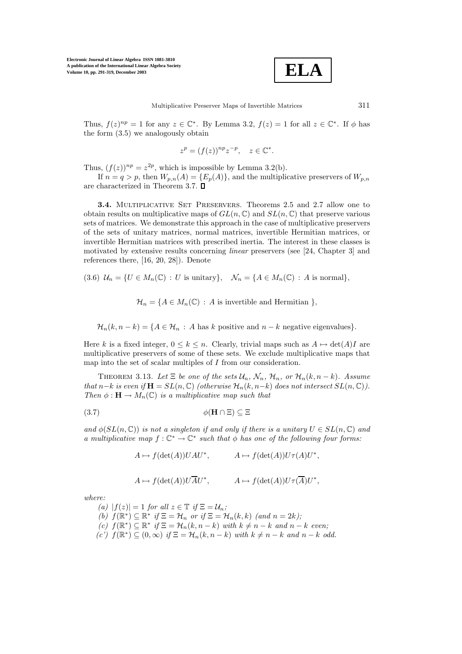

Thus,  $f(z)^{np} = 1$  for any  $z \in \mathbb{C}^*$ . By Lemma 3.2,  $f(z) = 1$  for all  $z \in \mathbb{C}^*$ . If  $\phi$  has the form (3.5) we analogously obtain

$$
z^p = (f(z))^{np} z^{-p}, \quad z \in \mathbb{C}^*.
$$

Thus,  $(f(z))^{np} = z^{2p}$ , which is impossible by Lemma 3.2(b).

If  $n = q > p$ , then  $W_{p,n}(A) = \{E_p(A)\}\$ , and the multiplicative preservers of  $W_{p,n}$ are characterized in Theorem 3.7.

**3.4.** MULTIPLICATIVE SET PRESERVERS. Theorems 2.5 and 2.7 allow one to obtain results on multiplicative maps of  $GL(n, \mathbb{C})$  and  $SL(n, \mathbb{C})$  that preserve various sets of matrices. We demonstrate this approach in the case of multiplicative preservers of the sets of unitary matrices, normal matrices, invertible Hermitian matrices, or invertible Hermitian matrices with prescribed inertia. The interest in these classes is motivated by extensive results concerning *linear* preservers (see [24, Chapter 3] and references there, [16, 20, 28]). Denote

(3.6)  $\mathcal{U}_n = \{U \in M_n(\mathbb{C}) : U \text{ is unitary}\}, \quad \mathcal{N}_n = \{A \in M_n(\mathbb{C}) : A \text{ is normal}\},\$ 

 $\mathcal{H}_n = \{A \in M_n(\mathbb{C}) : A \text{ is invertible and Hermitian }\},\$ 

 $\mathcal{H}_n(k, n-k) = \{A \in \mathcal{H}_n : A \text{ has } k \text{ positive and } n-k \text{ negative eigenvalues}\}.$ 

Here k is a fixed integer,  $0 \le k \le n$ . Clearly, trivial maps such as  $A \mapsto \det(A)I$  are multiplicative preservers of some of these sets. We exclude multiplicative maps that map into the set of scalar multiples of  $I$  from our consideration.

THEOREM 3.13. Let  $\Xi$  *be one of the sets*  $\mathcal{U}_n$ ,  $\mathcal{N}_n$ ,  $\mathcal{H}_n$ , or  $\mathcal{H}_n(k, n-k)$ *. Assume that*  $n-k$  *is even if*  $\mathbf{H} = SL(n, \mathbb{C})$  *(otherwise*  $\mathcal{H}_n(k, n-k)$  *does not intersect*  $SL(n, \mathbb{C})$ *). Then*  $\phi$  :  $\mathbf{H} \to M_n(\mathbb{C})$  *is a multiplicative map such that* 

$$
\phi(\mathbf{H} \cap \Xi) \subseteq \Xi
$$

*and*  $\phi(SL(n, \mathbb{C}))$  *is not a singleton if and only if there is a unitary*  $U \in SL(n, \mathbb{C})$  *and a multiplicative map*  $f: \mathbb{C}^* \to \mathbb{C}^*$  *such that*  $\phi$  *has one of the following four forms:* 

 $A \mapsto f(\det(A))UAU^*, \qquad A \mapsto f(\det(A))U\tau(A)U^*,$ 

$$
A \mapsto f(\det(A))U\overline{A}U^*, \qquad A \mapsto f(\det(A))U\tau(\overline{A})U^*,
$$

*where:*

*(a)*  $|f(z)| = 1$  *for all*  $z \in \mathbb{T}$  *if*  $\Xi = \mathcal{U}_n$ *; (b)*  $f(\mathbb{R}^*) \subseteq \mathbb{R}^*$  *if*  $\Xi = \mathcal{H}_n$  *or if*  $\Xi = \mathcal{H}_n(k, k)$  *(and*  $n = 2k$ *)*; *(c)*  $f(\mathbb{R}^*) \subseteq \mathbb{R}^*$  *if*  $\Xi = \mathcal{H}_n(k, n - k)$  *with*  $k \neq n - k$  *and*  $n - k$  *even;*  $(c')$   $f(\mathbb{R}^*) \subseteq (0,\infty)$  *if*  $\Xi = \mathcal{H}_n(k,n-k)$  *with*  $k \neq n-k$  *and*  $n-k$  *odd.*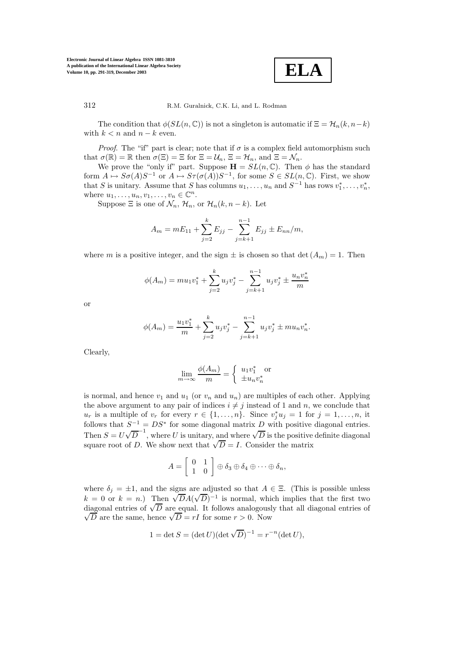

The condition that  $\phi(SL(n, \mathbb{C}))$  is not a singleton is automatic if  $\Xi = \mathcal{H}_n(k, n-k)$ with  $k < n$  and  $n - k$  even.

*Proof.* The "if" part is clear; note that if  $\sigma$  is a complex field automorphism such that  $\sigma(\mathbb{R}) = \mathbb{R}$  then  $\sigma(\Xi) = \Xi$  for  $\Xi = \mathcal{U}_n, \Xi = \mathcal{H}_n$ , and  $\Xi = \mathcal{N}_n$ .

We prove the "only if" part. Suppose  $\mathbf{H} = SL(n, \mathbb{C})$ . Then  $\phi$  has the standard form  $A \mapsto S\sigma(A)S^{-1}$  or  $A \mapsto S\tau(\sigma(A))S^{-1}$ , for some  $S \in SL(n,\mathbb{C})$ . First, we show that S is unitary. Assume that S has columns  $u_1, \ldots, u_n$  and  $S^{-1}$  has rows  $v_1^*, \ldots, v_n^*,$ where  $u_1, \ldots, u_n, v_1, \ldots, v_n \in \mathbb{C}^n$ .

Suppose  $\Xi$  is one of  $\mathcal{N}_n$ ,  $\mathcal{H}_n$ , or  $\mathcal{H}_n(k, n-k)$ . Let

$$
A_m = mE_{11} + \sum_{j=2}^{k} E_{jj} - \sum_{j=k+1}^{n-1} E_{jj} \pm E_{nn}/m,
$$

where m is a positive integer, and the sign  $\pm$  is chosen so that  $\det(A_m) = 1$ . Then

$$
\phi(A_m) = mu_1v_1^* + \sum_{j=2}^k u_jv_j^* - \sum_{j=k+1}^{n-1} u_jv_j^* \pm \frac{u_nv_n^*}{m}
$$

or

$$
\phi(A_m) = \frac{u_1 v_1^*}{m} + \sum_{j=2}^k u_j v_j^* - \sum_{j=k+1}^{n-1} u_j v_j^* \pm m u_n v_n^*.
$$

Clearly,

$$
\lim_{m \to \infty} \frac{\phi(A_m)}{m} = \begin{cases} u_1 v_1^* \text{ or } \\ \pm u_n v_n^* \end{cases}
$$

is normal, and hence  $v_1$  and  $u_1$  (or  $v_n$  and  $u_n$ ) are multiples of each other. Applying the above argument to any pair of indices  $i \neq j$  instead of 1 and n, we conclude that  $u_r$  is a multiple of  $v_r$  for every  $r \in \{1, ..., n\}$ . Since  $v_j^* u_j = 1$  for  $j = 1, ..., n$ , it follows that  $S^{-1} = DS^*$  for some diagonal matrix D with positive diagonal entries. Then  $S = U$  $\sqrt{D}^{-1}$ , where U is unitary, and where  $\sqrt{D}$  is the positive definite diagonal Then  $S = U \vee D$ , where U is unitary, and where  $\vee D$  is the positive square root of D. We show next that  $\sqrt{D} = I$ . Consider the matrix

$$
A = \left[ \begin{array}{cc} 0 & 1 \\ 1 & 0 \end{array} \right] \oplus \delta_3 \oplus \delta_4 \oplus \cdots \oplus \delta_n,
$$

where  $\delta_j = \pm 1$ , and the signs are adjusted so that  $A \in \Xi$ . (This is possible unless where  $\sigma_j = \pm 1$ , and the signs are adjusted so that  $A \in \Xi$ . (This is possible different unless  $k = 0$  or  $k = n$ .) Then  $\sqrt{D}A(\sqrt{D})^{-1}$  is normal, which implies that the first two  $\kappa = 0$  or  $\kappa = n$ .) Then  $\sqrt{DA}(\sqrt{D})$  is normal, which implies that the first two<br>diagonal entries of  $\sqrt{D}$  are equal. It follows analogously that all diagonal entries of agonal entries or  $\sqrt{D}$  are equal. It follows analogous<br>  $\overline{D}$  are the same, hence  $\sqrt{D} = rI$  for some  $r > 0$ . Now

$$
1 = \det S = (\det U)(\det \sqrt{D})^{-1} = r^{-n}(\det U),
$$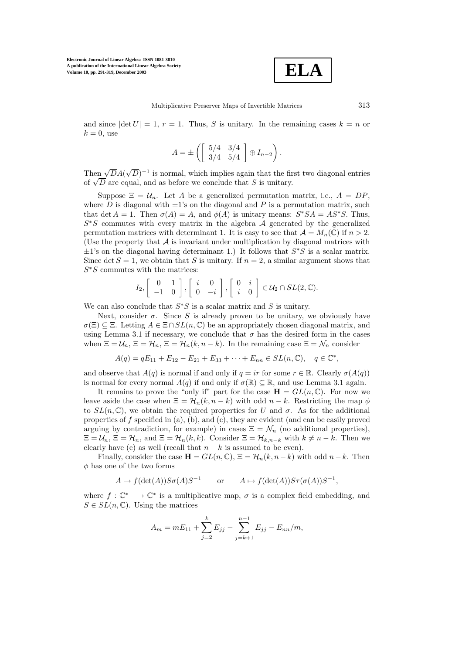

and since  $|\det U| = 1$ ,  $r = 1$ . Thus, S is unitary. In the remaining cases  $k = n$  or  $k = 0$ , use

$$
A = \pm \left( \left[ \begin{array}{cc} 5/4 & 3/4 \\ 3/4 & 5/4 \end{array} \right] \oplus I_{n-2} \right).
$$

Then  $\sqrt{D}A$ (  $(\sqrt{D})^{-1}$  is normal, which implies again that the first two diagonal entries of  $\sqrt{D}$  are equal, and as before we conclude that S is unitary.

Suppose  $\Xi = U_n$ . Let A be a generalized permutation matrix, i.e.,  $A = DP$ , where D is diagonal with  $\pm 1$ 's on the diagonal and P is a permutation matrix, such that det  $A = 1$ . Then  $\sigma(A) = A$ , and  $\phi(A)$  is unitary means:  $S^*SA = AS^*S$ . Thus,  $S<sup>*</sup>S$  commutes with every matrix in the algebra A generated by the generalized permutation matrices with determinant 1. It is easy to see that  $\mathcal{A} = M_n(\mathbb{C})$  if  $n > 2$ . (Use the property that  $A$  is invariant under multiplication by diagonal matrices with  $\pm 1$ 's on the diagonal having determinant 1.) It follows that  $S^*S$  is a scalar matrix. Since det  $S = 1$ , we obtain that S is unitary. If  $n = 2$ , a similar argument shows that  $S<sup>*</sup>S$  commutes with the matrices:

$$
I_2, \begin{bmatrix} 0 & 1 \\ -1 & 0 \end{bmatrix}, \begin{bmatrix} i & 0 \\ 0 & -i \end{bmatrix}, \begin{bmatrix} 0 & i \\ i & 0 \end{bmatrix} \in \mathcal{U}_2 \cap SL(2, \mathbb{C}).
$$

We can also conclude that  $S^*S$  is a scalar matrix and S is unitary.

Next, consider  $\sigma$ . Since S is already proven to be unitary, we obviously have  $\sigma(\Xi) \subseteq \Xi$ . Letting  $A \in \Xi \cap SL(n, \mathbb{C})$  be an appropriately chosen diagonal matrix, and using Lemma 3.1 if necessary, we conclude that  $\sigma$  has the desired form in the cases when  $\Xi = \mathcal{U}_n, \Xi = \mathcal{H}_n, \Xi = \mathcal{H}_n(k, n - k)$ . In the remaining case  $\Xi = \mathcal{N}_n$  consider

$$
A(q) = qE_{11} + E_{12} - E_{21} + E_{33} + \cdots + E_{nn} \in SL(n, \mathbb{C}), \quad q \in \mathbb{C}^*,
$$

and observe that  $A(q)$  is normal if and only if  $q = ir$  for some  $r \in \mathbb{R}$ . Clearly  $\sigma(A(q))$ is normal for every normal  $A(q)$  if and only if  $\sigma(\mathbb{R}) \subset \mathbb{R}$ , and use Lemma 3.1 again.

It remains to prove the "only if" part for the case  $\mathbf{H} = GL(n, \mathbb{C})$ . For now we leave aside the case when  $\Xi = \mathcal{H}_n(k, n - k)$  with odd  $n - k$ . Restricting the map  $\phi$ to  $SL(n,\mathbb{C})$ , we obtain the required properties for U and  $\sigma$ . As for the additional properties of  $f$  specified in (a), (b), and (c), they are evident (and can be easily proved arguing by contradiction, for example) in cases  $\Xi = \mathcal{N}_n$  (no additional properties),  $\Xi = \mathcal{U}_n, \Xi = \mathcal{H}_n,$  and  $\Xi = \mathcal{H}_n(k, k)$ . Consider  $\Xi = \mathcal{H}_{k,n-k}$  with  $k \neq n-k$ . Then we clearly have (c) as well (recall that  $n - k$  is assumed to be even).

Finally, consider the case  $\mathbf{H} = GL(n, \mathbb{C}), \ \Xi = \mathcal{H}_n(k, n-k)$  with odd  $n-k$ . Then  $\phi$  has one of the two forms

$$
A \mapsto f(\det(A))S\sigma(A)S^{-1} \qquad \text{or} \qquad A \mapsto f(\det(A))S\tau(\sigma(A))S^{-1},
$$

where  $f: \mathbb{C}^* \longrightarrow \mathbb{C}^*$  is a multiplicative map,  $\sigma$  is a complex field embedding, and  $S \in SL(n, \mathbb{C})$ . Using the matrices

$$
A_m = mE_{11} + \sum_{j=2}^{k} E_{jj} - \sum_{j=k+1}^{n-1} E_{jj} - E_{nn}/m,
$$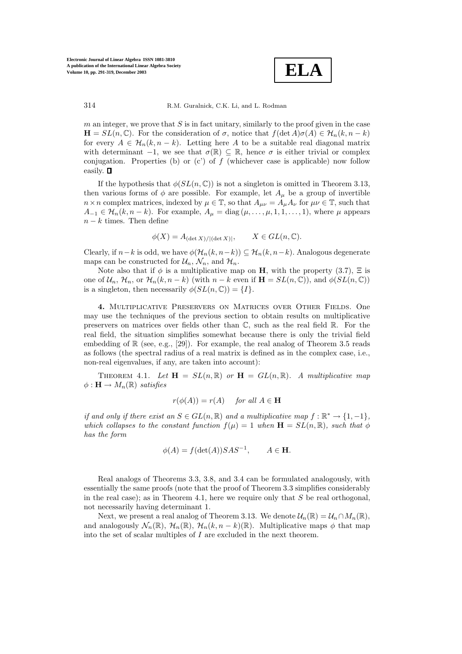

 $m$  an integer, we prove that  $S$  is in fact unitary, similarly to the proof given in the case  $\mathbf{H} = SL(n, \mathbb{C})$ . For the consideration of  $\sigma$ , notice that  $f(\det A)\sigma(A) \in \mathcal{H}_n(k, n-k)$ for every  $A \in \mathcal{H}_n(k,n-k)$ . Letting here A to be a suitable real diagonal matrix with determinant  $-1$ , we see that  $\sigma(\mathbb{R}) \subseteq \mathbb{R}$ , hence  $\sigma$  is either trivial or complex conjugation. Properties (b) or  $(c')$  of f (whichever case is applicable) now follow easily.

If the hypothesis that  $\phi(SL(n, \mathbb{C}))$  is not a singleton is omitted in Theorem 3.13, then various forms of  $\phi$  are possible. For example, let  $A_\mu$  be a group of invertible  $n \times n$  complex matrices, indexed by  $\mu \in \mathbb{T}$ , so that  $A_{\mu\nu} = A_{\mu}A_{\nu}$  for  $\mu\nu \in \mathbb{T}$ , such that  $A_{-1} \in \mathcal{H}_n(k, n-k)$ . For example,  $A_{\mu} = \text{diag}(\mu, \ldots, \mu, 1, 1, \ldots, 1)$ , where  $\mu$  appears  $n - k$  times. Then define

$$
\phi(X) = A_{(\det X)/|(\det X)|}, \qquad X \in GL(n, \mathbb{C}).
$$

Clearly, if  $n-k$  is odd, we have  $\phi(\mathcal{H}_n(k,n-k)) \subset \mathcal{H}_n(k,n-k)$ . Analogous degenerate maps can be constructed for  $\mathcal{U}_n$ ,  $\mathcal{N}_n$ , and  $\mathcal{H}_n$ .

Note also that if  $\phi$  is a multiplicative map on **H**, with the property (3.7),  $\Xi$  is one of  $\mathcal{U}_n$ ,  $\mathcal{H}_n$ , or  $\mathcal{H}_n(k, n-k)$  (with  $n-k$  even if  $\mathbf{H} = SL(n, \mathbb{C})$ ), and  $\phi(SL(n, \mathbb{C}))$ is a singleton, then necessarily  $\phi(SL(n,\mathbb{C})) = \{I\}.$ 

**4.** Multiplicative Preservers on Matrices over Other Fields. One may use the techniques of the previous section to obtain results on multiplicative preservers on matrices over fields other than C, such as the real field R. For the real field, the situation simplifies somewhat because there is only the trivial field embedding of  $\mathbb{R}$  (see, e.g., [29]). For example, the real analog of Theorem 3.5 reads as follows (the spectral radius of a real matrix is defined as in the complex case, i.e., non-real eigenvalues, if any, are taken into account):

THEOREM 4.1. Let  $\mathbf{H} = SL(n, \mathbb{R})$  or  $\mathbf{H} = GL(n, \mathbb{R})$ . A multiplicative map  $\phi : \mathbf{H} \to M_n(\mathbb{R})$  *satisfies* 

$$
r(\phi(A)) = r(A) \quad \text{for all } A \in \mathbf{H}
$$

*if and only if there exist an*  $S \in GL(n, \mathbb{R})$  *and a multiplicative map*  $f : \mathbb{R}^* \to \{1, -1\}$ *, which collapses to the constant function*  $f(\mu)=1$  *when*  $\mathbf{H}=SL(n,\mathbb{R})$ *, such that*  $\phi$ *has the form*

$$
\phi(A) = f(\det(A))SAS^{-1}, \qquad A \in \mathbf{H}.
$$

Real analogs of Theorems 3.3, 3.8, and 3.4 can be formulated analogously, with essentially the same proofs (note that the proof of Theorem 3.3 simplifies considerably in the real case); as in Theorem 4.1, here we require only that  $S$  be real orthogonal, not necessarily having determinant 1.

Next, we present a real analog of Theorem 3.13. We denote  $\mathcal{U}_n(\mathbb{R}) = \mathcal{U}_n \cap M_n(\mathbb{R}),$ and analogously  $\mathcal{N}_n(\mathbb{R})$ ,  $\mathcal{H}_n(\mathbb{R})$ ,  $\mathcal{H}_n(k,n-k)(\mathbb{R})$ . Multiplicative maps  $\phi$  that map into the set of scalar multiples of I are excluded in the next theorem.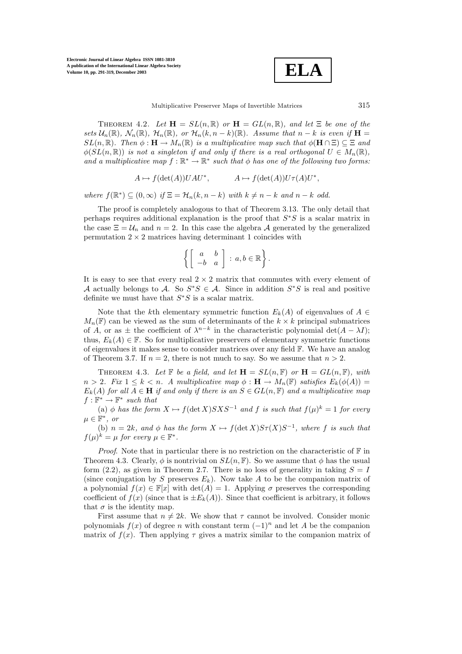

THEOREM 4.2. Let  $\mathbf{H} = SL(n, \mathbb{R})$  or  $\mathbf{H} = GL(n, \mathbb{R})$ , and let  $\Xi$  be one of the *sets*  $\mathcal{U}_n(\mathbb{R})$ *,*  $\mathcal{N}_n(\mathbb{R})$ *,*  $\mathcal{H}_n(\mathbb{R})$ *, or*  $\mathcal{H}_n(k, n - k)(\mathbb{R})$ *. Assume that*  $n - k$  *is even if*  $\mathbf{H} =$  $SL(n,\mathbb{R})$ *. Then*  $\phi : \mathbf{H} \to M_n(\mathbb{R})$  *is a multiplicative map such that*  $\phi(\mathbf{H} \cap \Xi) \subseteq \Xi$  *and*  $\phi(SL(n,\mathbb{R}))$  *is not a singleton if and only if there is a real orthogonal*  $U \in M_n(\mathbb{R})$ , *and a multiplicative map*  $f : \mathbb{R}^* \to \mathbb{R}^*$  *such that*  $\phi$  *has one of the following two forms:* 

$$
A \mapsto f(\det(A))UAU^*, \qquad A \mapsto f(\det(A))U\tau(A)U^*,
$$

*where*  $f(\mathbb{R}^*) \subseteq (0, \infty)$  *if*  $\Xi = \mathcal{H}_n(k, n - k)$  *with*  $k \neq n - k$  *and*  $n - k$  *odd.* 

The proof is completely analogous to that of Theorem 3.13. The only detail that perhaps requires additional explanation is the proof that S∗S is a scalar matrix in the case  $\Xi = U_n$  and  $n = 2$ . In this case the algebra A generated by the generalized permutation  $2 \times 2$  matrices having determinant 1 coincides with

$$
\left\{ \left[ \begin{array}{cc} a & b \\ -b & a \end{array} \right] : a, b \in \mathbb{R} \right\}.
$$

It is easy to see that every real  $2 \times 2$  matrix that commutes with every element of A actually belongs to A. So  $S^*S \in \mathcal{A}$ . Since in addition  $S^*S$  is real and positive definite we must have that  $S^*S$  is a scalar matrix.

Note that the kth elementary symmetric function  $E_k(A)$  of eigenvalues of  $A \in$  $M_n(\mathbb{F})$  can be viewed as the sum of determinants of the  $k \times k$  principal submatrices of A, or as  $\pm$  the coefficient of  $\lambda^{n-k}$  in the characteristic polynomial det(A –  $\lambda I$ ); thus,  $E_k(A) \in \mathbb{F}$ . So for multiplicative preservers of elementary symmetric functions of eigenvalues it makes sense to consider matrices over any field F. We have an analog of Theorem 3.7. If  $n = 2$ , there is not much to say. So we assume that  $n > 2$ .

THEOREM 4.3. Let  $\mathbb{F}$  be a field, and let  $\mathbf{H} = SL(n, \mathbb{F})$  or  $\mathbf{H} = GL(n, \mathbb{F})$ , with  $n > 2$ *. Fix*  $1 \leq k < n$ *. A multiplicative map*  $\phi : \mathbf{H} \to M_n(\mathbb{F})$  *satisfies*  $E_k(\phi(A)) =$  $E_k(A)$  *for all*  $A \in \mathbf{H}$  *if and only if there is an*  $S \in GL(n, \mathbb{F})$  *and a multiplicative map*  $f: \mathbb{F}^* \to \mathbb{F}^*$  *such that* 

(a)  $\phi$  *has the form*  $X \mapsto f(\det X)SXS^{-1}$  *and*  $f$  *is such that*  $f(\mu)^k = 1$  *for every*  $\mu \in \mathbb{F}^*$ *, or* 

(b)  $n = 2k$ *, and*  $\phi$  *has the form*  $X \mapsto f(\det X)S\tau(X)S^{-1}$ *, where* f *is such that*  $f(\mu)^k = \mu$  for every  $\mu \in \mathbb{F}^*$ .

*Proof.* Note that in particular there is no restriction on the characteristic of  $\mathbb{F}$  in Theorem 4.3. Clearly,  $\phi$  is nontrivial on  $SL(n, \mathbb{F})$ . So we assume that  $\phi$  has the usual form (2.2), as given in Theorem 2.7. There is no loss of generality in taking  $S = I$ (since conjugation by S preserves  $E_k$ ). Now take A to be the companion matrix of a polynomial  $f(x) \in \mathbb{F}[x]$  with  $\det(A) = 1$ . Applying  $\sigma$  preserves the corresponding coefficient of  $f(x)$  (since that is  $\pm E_k(A)$ ). Since that coefficient is arbitrary, it follows that  $\sigma$  is the identity map.

First assume that  $n \neq 2k$ . We show that  $\tau$  cannot be involved. Consider monic polynomials  $f(x)$  of degree n with constant term  $(-1)^n$  and let A be the companion matrix of  $f(x)$ . Then applying  $\tau$  gives a matrix similar to the companion matrix of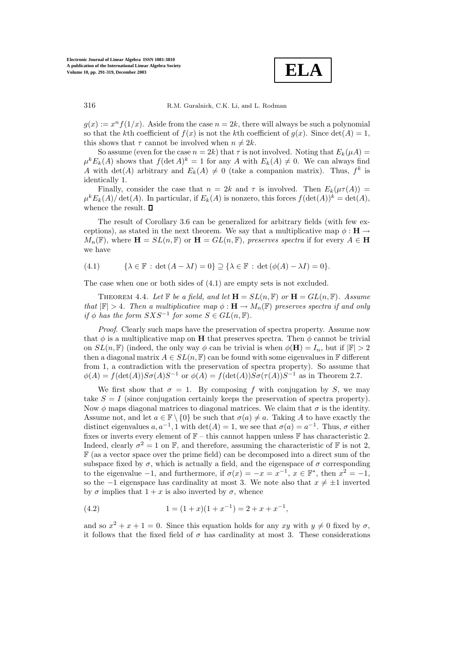**ELA**

 $g(x) := x^n f(1/x)$ . Aside from the case  $n = 2k$ , there will always be such a polynomial so that the kth coefficient of  $f(x)$  is not the kth coefficient of  $g(x)$ . Since  $det(A) = 1$ , this shows that  $\tau$  cannot be involved when  $n \neq 2k$ .

So assume (even for the case  $n = 2k$ ) that  $\tau$  is not involved. Noting that  $E_k(\mu A)$  =  $\mu^{k}E_{k}(A)$  shows that  $f(\det A)^{k} = 1$  for any A with  $E_{k}(A) \neq 0$ . We can always find A with det(A) arbitrary and  $E_k(A) \neq 0$  (take a companion matrix). Thus,  $f^k$  is identically 1.

Finally, consider the case that  $n = 2k$  and  $\tau$  is involved. Then  $E_k(\mu \tau(A))$  $\mu^{k}E_{k}(A)/\det(A)$ . In particular, if  $E_{k}(A)$  is nonzero, this forces  $f(\det(A))^{k} = \det(A)$ , whence the result.  $\square$ 

The result of Corollary 3.6 can be generalized for arbitrary fields (with few exceptions), as stated in the next theorem. We say that a multiplicative map  $\phi : H \rightarrow$  $M_n(\mathbb{F})$ , where  $\mathbf{H} = SL(n, \mathbb{F})$  or  $\mathbf{H} = GL(n, \mathbb{F})$ , preserves spectra if for every  $A \in \mathbf{H}$ we have

$$
(4.1) \qquad \{\lambda \in \mathbb{F} : \det(A - \lambda I) = 0\} \supseteq \{\lambda \in \mathbb{F} : \det(\phi(A) - \lambda I) = 0\}.
$$

The case when one or both sides of (4.1) are empty sets is not excluded.

THEOREM 4.4. Let  $\mathbb{F}$  be a field, and let  $\mathbf{H} = SL(n, \mathbb{F})$  or  $\mathbf{H} = GL(n, \mathbb{F})$ . Assume *that*  $|\mathbb{F}| > 4$ *. Then a multiplicative map*  $\phi : \mathbf{H} \to M_n(\mathbb{F})$  *preserves spectra if and only if*  $\phi$  *has the form*  $SXS^{-1}$  *for some*  $S \in GL(n, \mathbb{F})$ *.* 

*Proof*. Clearly such maps have the preservation of spectra property. Assume now that  $\phi$  is a multiplicative map on **H** that preserves spectra. Then  $\phi$  cannot be trivial on  $SL(n, \mathbb{F})$  (indeed, the only way  $\phi$  can be trivial is when  $\phi(\mathbf{H}) = I_n$ , but if  $|\mathbb{F}| > 2$ then a diagonal matrix  $A \in SL(n, \mathbb{F})$  can be found with some eigenvalues in  $\mathbb{F}$  different from 1, a contradiction with the preservation of spectra property). So assume that  $\phi(A) = f(\det(A))S\sigma(A)S^{-1}$  or  $\phi(A) = f(\det(A))S\sigma(\tau(A))S^{-1}$  as in Theorem 2.7.

We first show that  $\sigma = 1$ . By composing f with conjugation by S, we may take  $S = I$  (since conjugation certainly keeps the preservation of spectra property). Now  $\phi$  maps diagonal matrices to diagonal matrices. We claim that  $\sigma$  is the identity. Assume not, and let  $a \in \mathbb{F} \setminus \{0\}$  be such that  $\sigma(a) \neq a$ . Taking A to have exactly the distinct eigenvalues  $a, a^{-1}, 1$  with  $\det(A) = 1$ , we see that  $\sigma(a) = a^{-1}$ . Thus,  $\sigma$  either fixes or inverts every element of  $\mathbb{F}$  – this cannot happen unless  $\mathbb F$  has characteristic 2. Indeed, clearly  $\sigma^2 = 1$  on F, and therefore, assuming the characteristic of F is not 2, F (as a vector space over the prime field) can be decomposed into a direct sum of the subspace fixed by  $\sigma$ , which is actually a field, and the eigenspace of  $\sigma$  corresponding to the eigenvalue  $-1$ , and furthermore, if  $\sigma(x) = -x = x^{-1}$ ,  $x \in \mathbb{F}^*$ , then  $x^2 = -1$ , so the −1 eigenspace has cardinality at most 3. We note also that  $x \neq \pm 1$  inverted by  $\sigma$  implies that  $1 + x$  is also inverted by  $\sigma$ , whence

(4.2) 
$$
1 = (1+x)(1+x^{-1}) = 2+x+x^{-1},
$$

and so  $x^2 + x + 1 = 0$ . Since this equation holds for any  $xy$  with  $y \neq 0$  fixed by  $\sigma$ , it follows that the fixed field of  $\sigma$  has cardinality at most 3. These considerations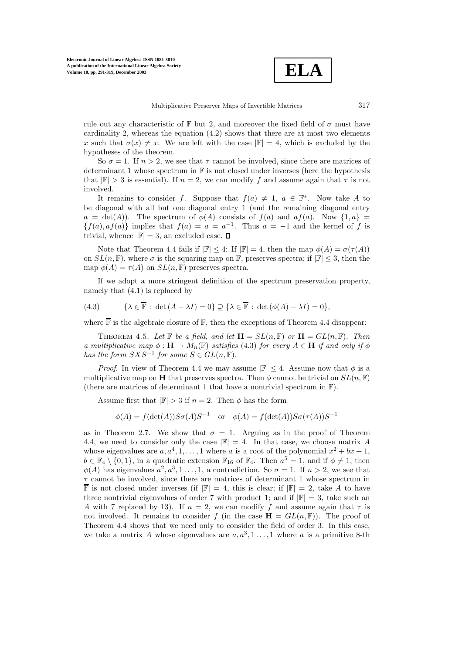

rule out any characteristic of F but 2, and moreover the fixed field of  $\sigma$  must have cardinality 2, whereas the equation  $(4.2)$  shows that there are at most two elements x such that  $\sigma(x) \neq x$ . We are left with the case  $|\mathbb{F}| = 4$ , which is excluded by the hypotheses of the theorem.

So  $\sigma = 1$ . If  $n > 2$ , we see that  $\tau$  cannot be involved, since there are matrices of determinant 1 whose spectrum in  $\mathbb F$  is not closed under inverses (here the hypothesis that  $|F| > 3$  is essential). If  $n = 2$ , we can modify f and assume again that  $\tau$  is not involved.

It remains to consider f. Suppose that  $f(a) \neq 1$ ,  $a \in \mathbb{F}^*$ . Now take A to be diagonal with all but one diagonal entry 1 (and the remaining diagonal entry  $a = \det(A)$ . The spectrum of  $\phi(A)$  consists of  $f(a)$  and  $af(a)$ . Now  $\{1, a\} =$  ${f(a), af(a)}$  implies that  $f(a) = a = a^{-1}$ . Thus  $a = -1$  and the kernel of f is trivial, whence  $|\mathbb{F}| = 3$ , an excluded case.  $\Box$ 

Note that Theorem 4.4 fails if  $|\mathbb{F}| \leq 4$ : If  $|\mathbb{F}| = 4$ , then the map  $\phi(A) = \sigma(\tau(A))$ on  $SL(n, \mathbb{F})$ , where  $\sigma$  is the squaring map on  $\mathbb{F}$ , preserves spectra; if  $|\mathbb{F}| \leq 3$ , then the map  $\phi(A) = \tau(A)$  on  $SL(n, \mathbb{F})$  preserves spectra.

If we adopt a more stringent definition of the spectrum preservation property, namely that (4.1) is replaced by

(4.3) 
$$
\{\lambda \in \overline{\mathbb{F}} : \det(A - \lambda I) = 0\} \supseteq \{\lambda \in \overline{\mathbb{F}} : \det(\phi(A) - \lambda I) = 0\},\
$$

where  $\overline{\mathbb{F}}$  is the algebraic closure of  $\mathbb{F}$ , then the exceptions of Theorem 4.4 disappear:

THEOREM 4.5. Let  $\mathbb{F}$  be a field, and let  $\mathbf{H} = SL(n, \mathbb{F})$  or  $\mathbf{H} = GL(n, \mathbb{F})$ . Then *a multiplicative map*  $\phi : \mathbf{H} \to M_n(\mathbb{F})$  *satisfies* (4.3) *for every*  $A \in \mathbf{H}$  *if and only if*  $\phi$ *has the form*  $SXS^{-1}$  *for some*  $S \in GL(n, \mathbb{F})$ *.* 

*Proof.* In view of Theorem 4.4 we may assume  $|\mathbb{F}| \leq 4$ . Assume now that  $\phi$  is a multiplicative map on **H** that preserves spectra. Then  $\phi$  cannot be trivial on  $SL(n, \mathbb{F})$ (there are matrices of determinant 1 that have a nontrivial spectrum in  $\overline{\mathbb{F}}$ ).

Assume first that  $|\mathbb{F}| > 3$  if  $n = 2$ . Then  $\phi$  has the form

$$
\phi(A) = f(\det(A))S\sigma(A)S^{-1} \text{ or } \phi(A) = f(\det(A))S\sigma(\tau(A))S^{-1}
$$

as in Theorem 2.7. We show that  $\sigma = 1$ . Arguing as in the proof of Theorem 4.4, we need to consider only the case  $\mathbb{F}$  = 4. In that case, we choose matrix A whose eigenvalues are  $a, a<sup>4</sup>, 1, \ldots, 1$  where a is a root of the polynomial  $x<sup>2</sup> + bx + 1$ ,  $b \in \mathbb{F}_4 \setminus \{0, 1\}$ , in a quadratic extension  $\mathbb{F}_{16}$  of  $\mathbb{F}_4$ . Then  $a^5 = 1$ , and if  $\phi \neq 1$ , then  $\phi(A)$  has eigenvalues  $a^2, a^3, 1 \ldots, 1$ , a contradiction. So  $\sigma = 1$ . If  $n > 2$ , we see that  $\tau$  cannot be involved, since there are matrices of determinant 1 whose spectrum in  $\overline{\mathbb{F}}$  is not closed under inverses (if  $|\mathbb{F}| = 4$ , this is clear; if  $|\mathbb{F}| = 2$ , take A to have three nontrivial eigenvalues of order 7 with product 1; and if  $\mathbb{F}| = 3$ , take such an A with 7 replaced by 13). If  $n = 2$ , we can modify f and assume again that  $\tau$  is not involved. It remains to consider f (in the case  $\mathbf{H} = GL(n, \mathbb{F})$ ). The proof of Theorem 4.4 shows that we need only to consider the field of order 3. In this case, we take a matrix A whose eigenvalues are  $a, a<sup>3</sup>, 1..., 1$  where a is a primitive 8-th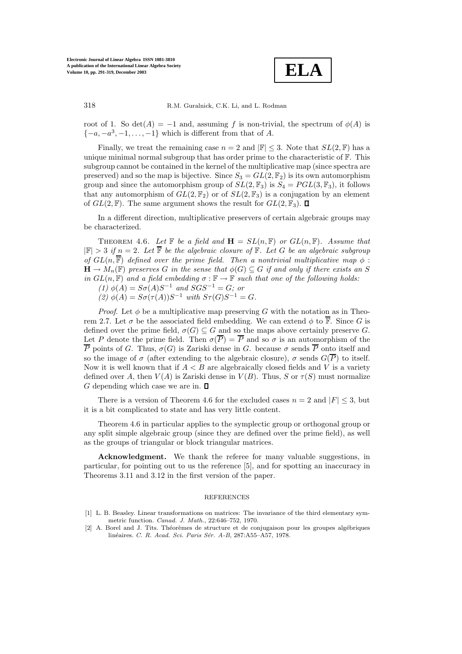

root of 1. So det(A) = −1 and, assuming f is non-trivial, the spectrum of  $\phi(A)$  is  $\{-a, -a^3, -1, \ldots, -1\}$  which is different from that of A.

Finally, we treat the remaining case  $n = 2$  and  $|\mathbb{F}| \leq 3$ . Note that  $SL(2, \mathbb{F})$  has a unique minimal normal subgroup that has order prime to the characteristic of  $\mathbb{F}$ . This subgroup cannot be contained in the kernel of the multiplicative map (since spectra are preserved) and so the map is bijective. Since  $S_3 = GL(2, \mathbb{F}_2)$  is its own automorphism group and since the automorphism group of  $SL(2, \mathbb{F}_3)$  is  $S_4 = PGL(3, \mathbb{F}_3)$ , it follows that any automorphism of  $GL(2, \mathbb{F}_2)$  or of  $SL(2, \mathbb{F}_3)$  is a conjugation by an element of  $GL(2, \mathbb{F})$ . The same argument shows the result for  $GL(2, \mathbb{F}_3)$ .  $\square$ 

In a different direction, multiplicative preservers of certain algebraic groups may be characterized.

THEOREM 4.6. Let  $\mathbb{F}$  be a field and  $\mathbf{H} = SL(n, \mathbb{F})$  or  $GL(n, \mathbb{F})$ . Assume that  $|\mathbb{F}| > 3$  *if*  $n = 2$ *. Let*  $\overline{\mathbb{F}}$  *be the algebraic closure of*  $\mathbb{F}$ *. Let*  $G$  *be an algebraic subgroup of*  $GL(n,\overline{\mathbb{F}})$  *defined over the prime field. Then a nontrivial multiplicative map*  $\phi$ :  $\mathbf{H} \to M_n(\mathbb{F})$  preserves G in the sense that  $\phi(G) \subseteq G$  if and only if there exists an S *in*  $GL(n, \mathbb{F})$  *and a field embedding*  $\sigma : \mathbb{F} \to \mathbb{F}$  *such that one of the following holds:* 

 $(1)$  φ(A) =  $Sσ(A)S^{-1}$  *and*  $SGS^{-1} = G$ *; or* 

(2)  $φ(A) = Sσ(τ(A))S<sup>-1</sup> with Sτ(G)S<sup>-1</sup> = G.$ 

*Proof.* Let  $\phi$  be a multiplicative map preserving G with the notation as in Theorem 2.7. Let  $\sigma$  be the associated field embedding. We can extend  $\phi$  to  $\overline{\mathbb{F}}$ . Since G is defined over the prime field,  $\sigma(G) \subseteq G$  and so the maps above certainly preserve G. Let P denote the prime field. Then  $\sigma(\overline{P}) = \overline{P}$  and so  $\sigma$  is an automorphism of the  $\overline{P}$  points of G. Thus,  $\sigma(G)$  is Zariski dense in G. because  $\sigma$  sends  $\overline{P}$  onto itself and so the image of  $\sigma$  (after extending to the algebraic closure),  $\sigma$  sends  $G(\overline{P})$  to itself. Now it is well known that if  $A < B$  are algebraically closed fields and V is a variety defined over A, then  $V(A)$  is Zariski dense in  $V(B)$ . Thus, S or  $\tau(S)$  must normalize G depending which case we are in.  $\Box$ 

There is a version of Theorem 4.6 for the excluded cases  $n = 2$  and  $|F| \leq 3$ , but it is a bit complicated to state and has very little content.

Theorem 4.6 in particular applies to the symplectic group or orthogonal group or any split simple algebraic group (since they are defined over the prime field), as well as the groups of triangular or block triangular matrices.

**Acknowledgment.** We thank the referee for many valuable suggestions, in particular, for pointing out to us the reference [5], and for spotting an inaccuracy in Theorems 3.11 and 3.12 in the first version of the paper.

## REFERENCES

- [1] L. B. Beasley. Linear transformations on matrices: The invariance of the third elementary symmetric function. *Canad. J. Math.*, 22:646–752, 1970.
- [2] A. Borel and J. Tits. Théorèmes de structure et de conjugaison pour les groupes algébriques linéaires. *C. R. Acad. Sci. Paris Sér. A-B*, 287:A55–A57, 1978.